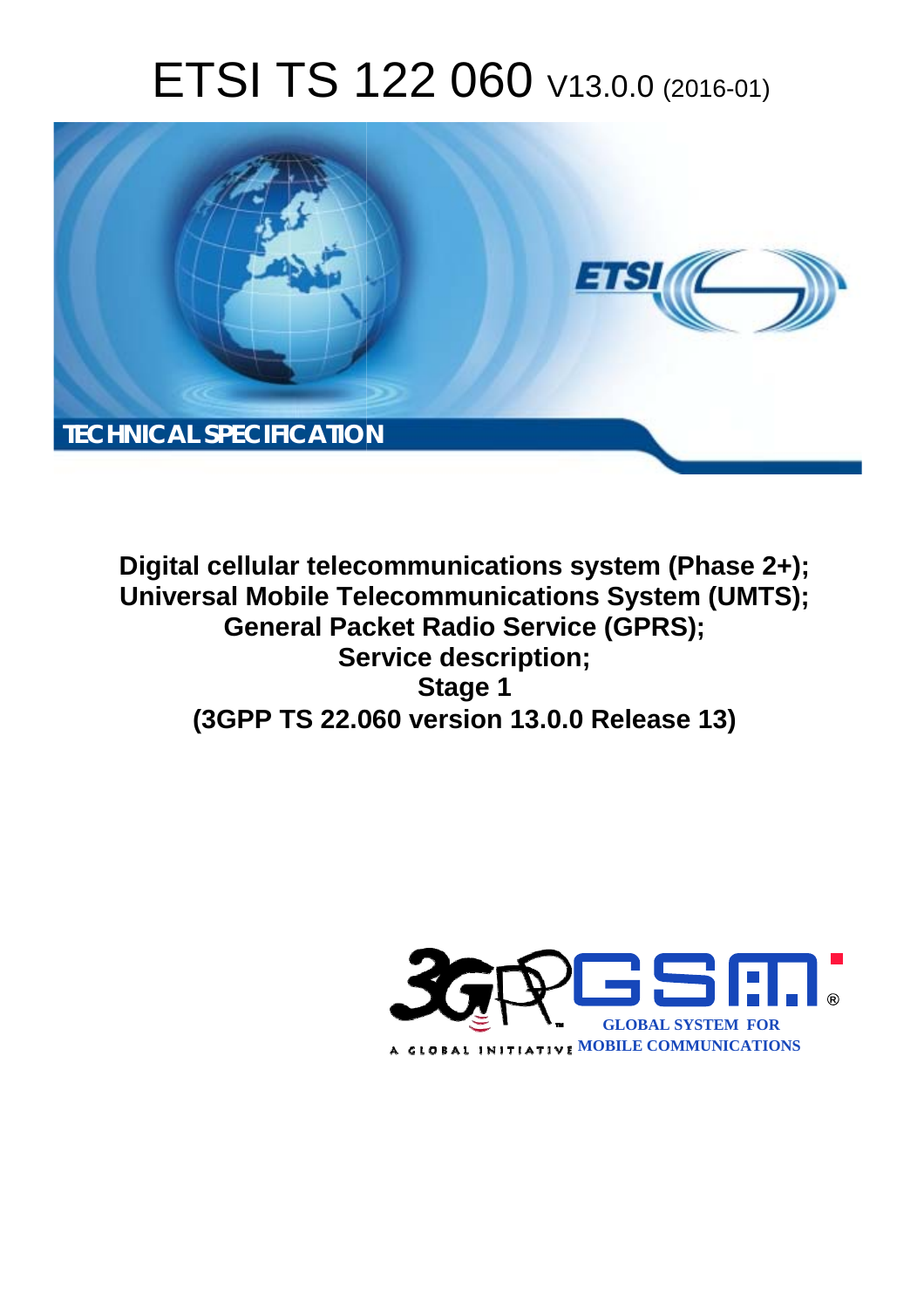# ETSI TS 122 060 V13.0.0 (2016-01)



**Digital cellular telecommunications system (Phase 2+); Universal Mobile Tel elecommunications System ( (UMTS); General Pac acket Radio Service (GPRS); Ser ervice description; (3GPP TS 22.0 .060 version 13.0.0 Release 13 13) Stage 1** 

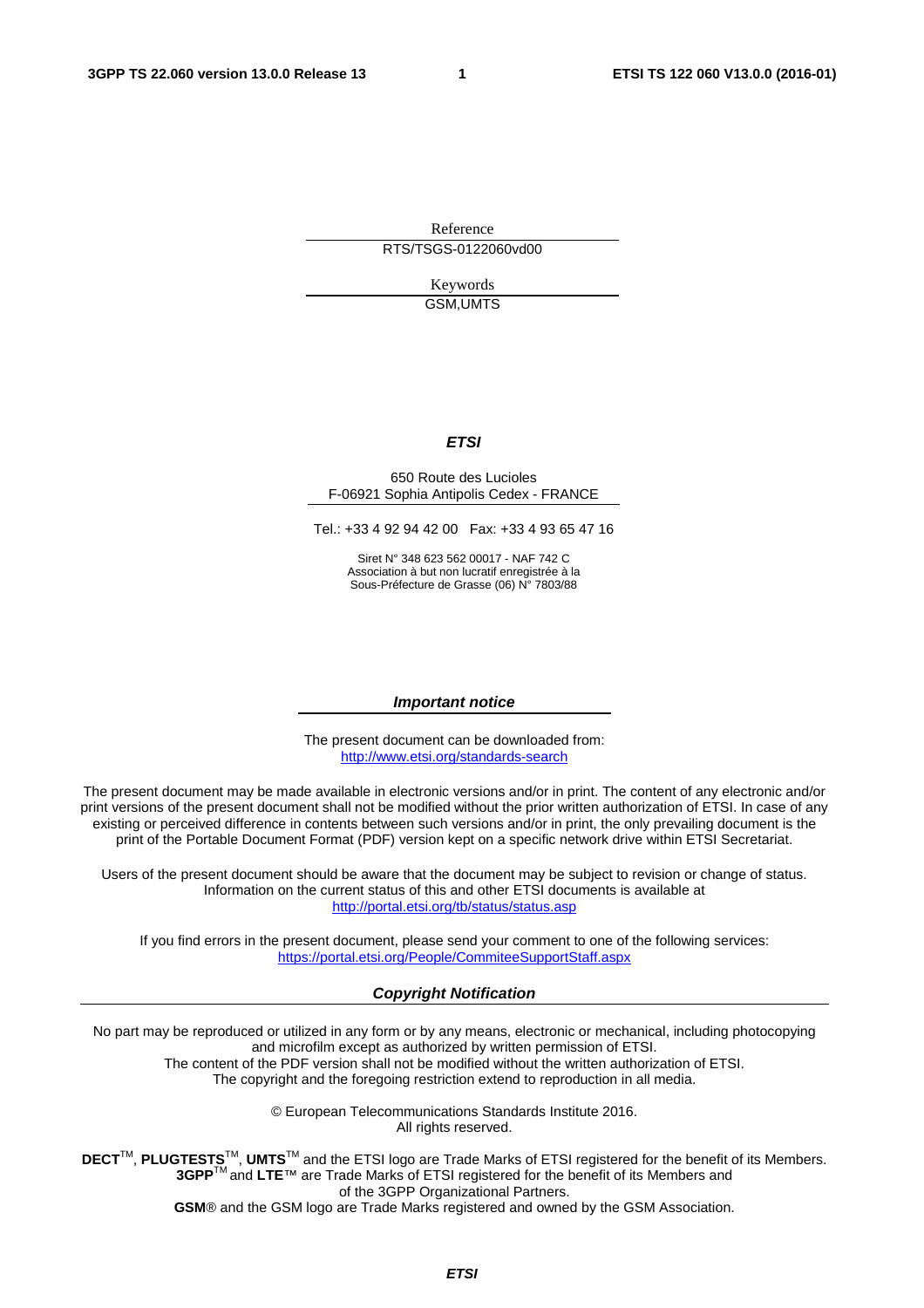Reference RTS/TSGS-0122060vd00

> Keywords GSM,UMTS

#### *ETSI*

#### 650 Route des Lucioles F-06921 Sophia Antipolis Cedex - FRANCE

Tel.: +33 4 92 94 42 00 Fax: +33 4 93 65 47 16

Siret N° 348 623 562 00017 - NAF 742 C Association à but non lucratif enregistrée à la Sous-Préfecture de Grasse (06) N° 7803/88

#### *Important notice*

The present document can be downloaded from: <http://www.etsi.org/standards-search>

The present document may be made available in electronic versions and/or in print. The content of any electronic and/or print versions of the present document shall not be modified without the prior written authorization of ETSI. In case of any existing or perceived difference in contents between such versions and/or in print, the only prevailing document is the print of the Portable Document Format (PDF) version kept on a specific network drive within ETSI Secretariat.

Users of the present document should be aware that the document may be subject to revision or change of status. Information on the current status of this and other ETSI documents is available at <http://portal.etsi.org/tb/status/status.asp>

If you find errors in the present document, please send your comment to one of the following services: <https://portal.etsi.org/People/CommiteeSupportStaff.aspx>

#### *Copyright Notification*

No part may be reproduced or utilized in any form or by any means, electronic or mechanical, including photocopying and microfilm except as authorized by written permission of ETSI.

The content of the PDF version shall not be modified without the written authorization of ETSI. The copyright and the foregoing restriction extend to reproduction in all media.

> © European Telecommunications Standards Institute 2016. All rights reserved.

**DECT**TM, **PLUGTESTS**TM, **UMTS**TM and the ETSI logo are Trade Marks of ETSI registered for the benefit of its Members. **3GPP**TM and **LTE**™ are Trade Marks of ETSI registered for the benefit of its Members and of the 3GPP Organizational Partners.

**GSM**® and the GSM logo are Trade Marks registered and owned by the GSM Association.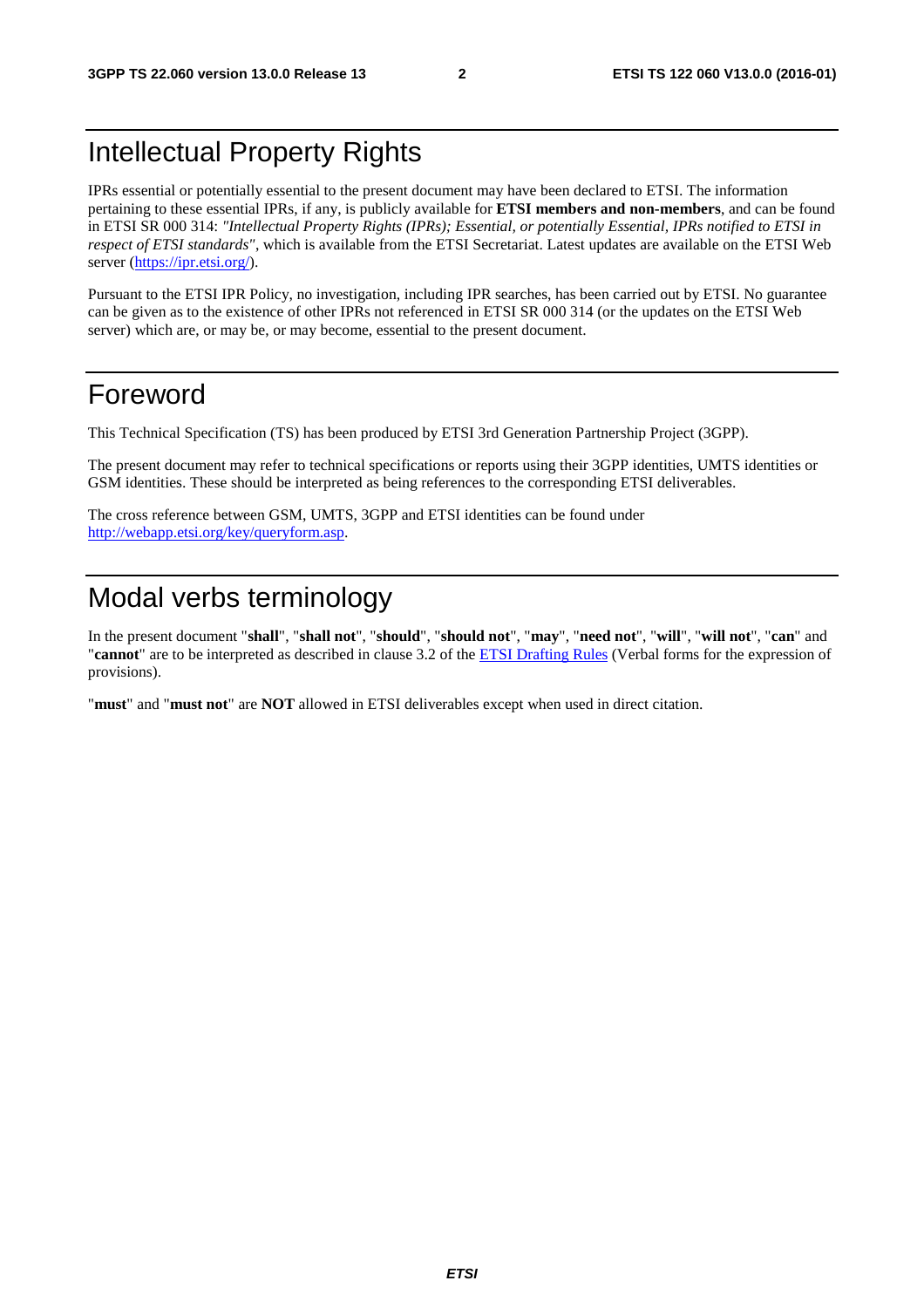# Intellectual Property Rights

IPRs essential or potentially essential to the present document may have been declared to ETSI. The information pertaining to these essential IPRs, if any, is publicly available for **ETSI members and non-members**, and can be found in ETSI SR 000 314: *"Intellectual Property Rights (IPRs); Essential, or potentially Essential, IPRs notified to ETSI in respect of ETSI standards"*, which is available from the ETSI Secretariat. Latest updates are available on the ETSI Web server [\(https://ipr.etsi.org/](https://ipr.etsi.org/)).

Pursuant to the ETSI IPR Policy, no investigation, including IPR searches, has been carried out by ETSI. No guarantee can be given as to the existence of other IPRs not referenced in ETSI SR 000 314 (or the updates on the ETSI Web server) which are, or may be, or may become, essential to the present document.

# Foreword

This Technical Specification (TS) has been produced by ETSI 3rd Generation Partnership Project (3GPP).

The present document may refer to technical specifications or reports using their 3GPP identities, UMTS identities or GSM identities. These should be interpreted as being references to the corresponding ETSI deliverables.

The cross reference between GSM, UMTS, 3GPP and ETSI identities can be found under <http://webapp.etsi.org/key/queryform.asp>.

# Modal verbs terminology

In the present document "**shall**", "**shall not**", "**should**", "**should not**", "**may**", "**need not**", "**will**", "**will not**", "**can**" and "**cannot**" are to be interpreted as described in clause 3.2 of the [ETSI Drafting Rules](http://portal.etsi.org/Help/editHelp!/Howtostart/ETSIDraftingRules.aspx) (Verbal forms for the expression of provisions).

"**must**" and "**must not**" are **NOT** allowed in ETSI deliverables except when used in direct citation.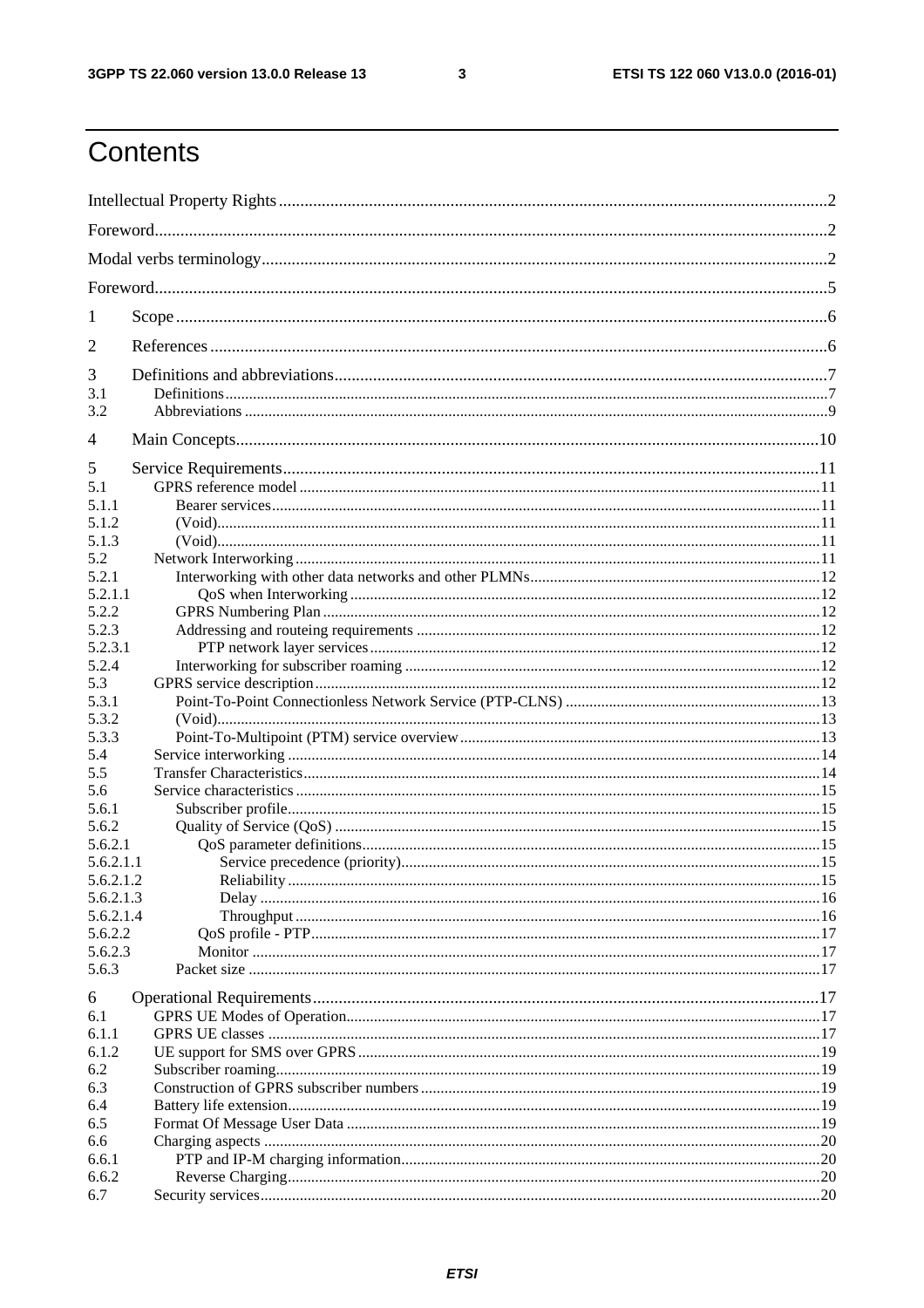$\mathbf{3}$ 

# Contents

| 1                      |  |
|------------------------|--|
| 2                      |  |
| 3                      |  |
| 3.1                    |  |
| 3.2                    |  |
| 4                      |  |
| 5                      |  |
| 5.1                    |  |
| 5.1.1                  |  |
| 5.1.2                  |  |
| 5.1.3                  |  |
| 5.2                    |  |
| 5.2.1                  |  |
| 5.2.1.1                |  |
| 5.2.2                  |  |
| 5.2.3                  |  |
| 5.2.3.1                |  |
| 5.2.4                  |  |
| 5.3                    |  |
| 5.3.1                  |  |
| 5.3.2                  |  |
| 5.3.3                  |  |
| 5.4                    |  |
| 5.5                    |  |
| 5.6                    |  |
| 5.6.1                  |  |
| 5.6.2                  |  |
| 5.6.2.1                |  |
| 5.6.2.1.1              |  |
| 5.6.2.1.2              |  |
| 5.6.2.1.3<br>5.6.2.1.4 |  |
| 5.6.2.2                |  |
| 5.6.2.3                |  |
| 5.6.3                  |  |
|                        |  |
| 6                      |  |
| 6.1                    |  |
| 6.1.1                  |  |
| 6.1.2                  |  |
| 6.2                    |  |
| 6.3                    |  |
| 6.4                    |  |
| 6.5                    |  |
| 6.6                    |  |
| 6.6.1                  |  |
| 6.6.2                  |  |
| 6.7                    |  |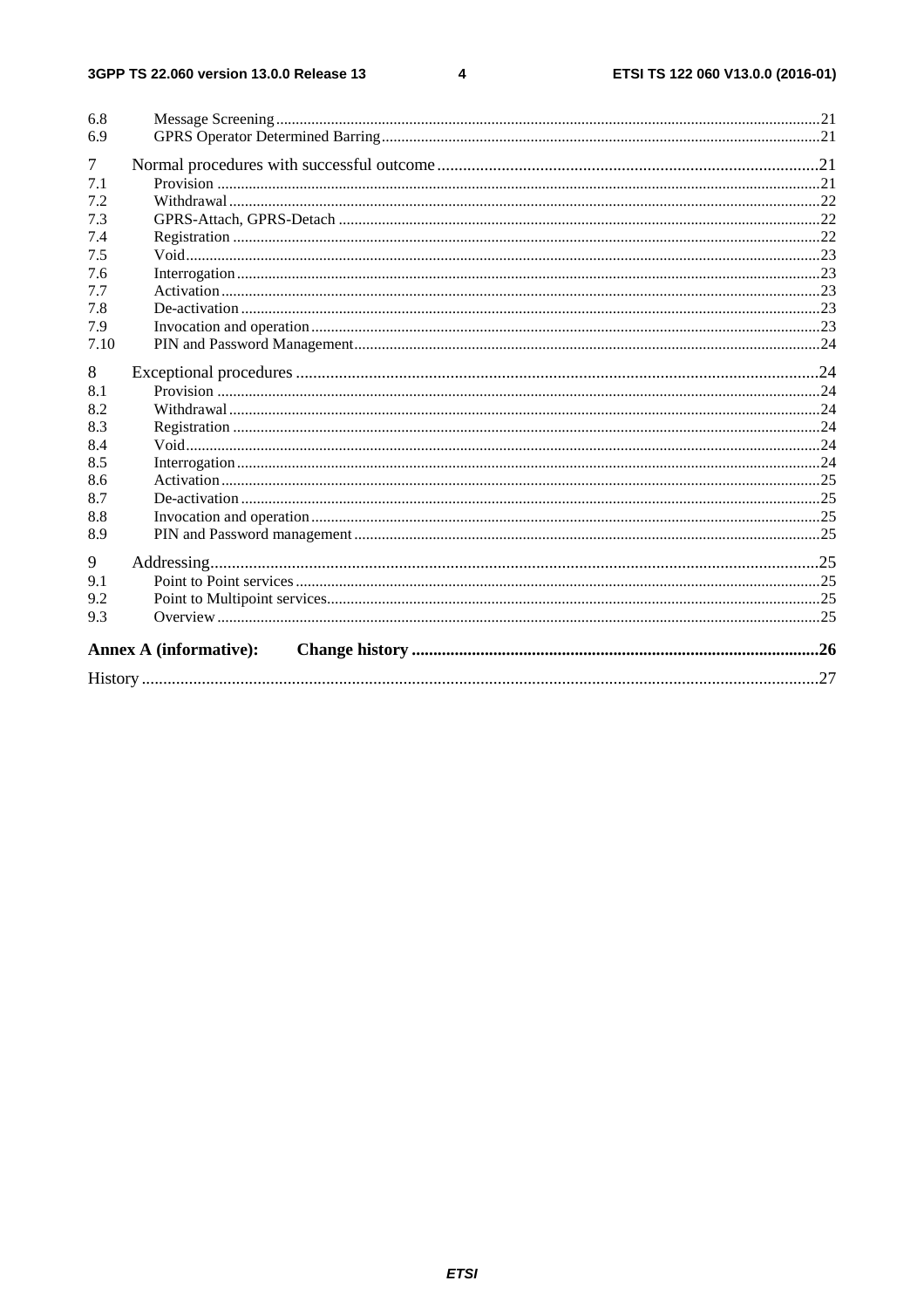$\overline{\mathbf{4}}$ 

| 6.8    |                               |  |
|--------|-------------------------------|--|
| 6.9    |                               |  |
| $\tau$ |                               |  |
| 7.1    |                               |  |
| 7.2    |                               |  |
| 7.3    |                               |  |
| 7.4    |                               |  |
| 7.5    |                               |  |
| 7.6    |                               |  |
| 7.7    |                               |  |
| 7.8    |                               |  |
| 7.9    |                               |  |
| 7.10   |                               |  |
| 8      |                               |  |
| 8.1    |                               |  |
| 8.2    |                               |  |
| 8.3    |                               |  |
| 8.4    |                               |  |
| 8.5    |                               |  |
| 8.6    |                               |  |
| 8.7    |                               |  |
| 8.8    |                               |  |
| 8.9    |                               |  |
| 9      |                               |  |
| 9.1    |                               |  |
| 9.2    |                               |  |
| 9.3    |                               |  |
|        |                               |  |
|        | <b>Annex A (informative):</b> |  |
|        |                               |  |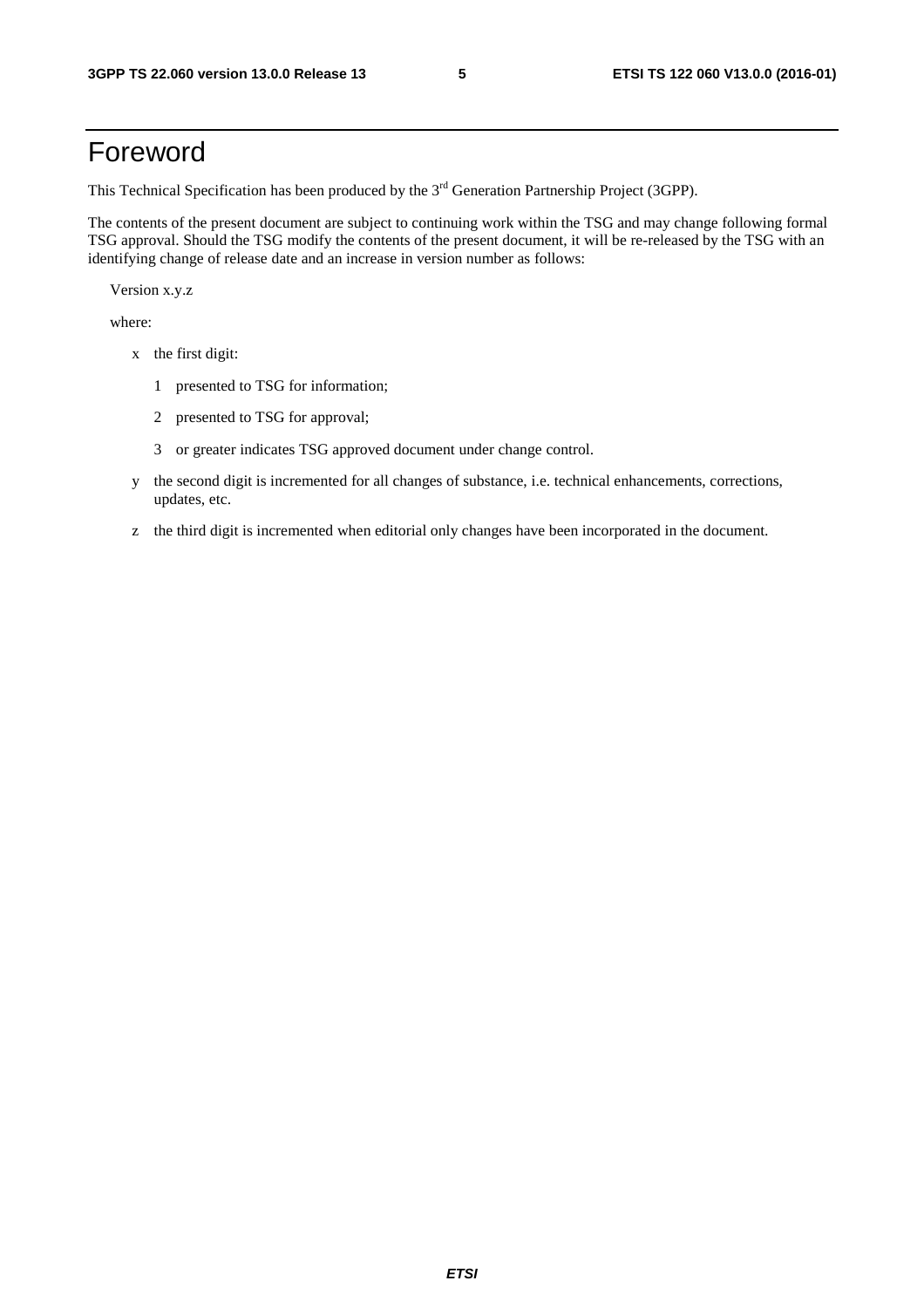# Foreword

This Technical Specification has been produced by the 3<sup>rd</sup> Generation Partnership Project (3GPP).

The contents of the present document are subject to continuing work within the TSG and may change following formal TSG approval. Should the TSG modify the contents of the present document, it will be re-released by the TSG with an identifying change of release date and an increase in version number as follows:

Version x.y.z

where:

- x the first digit:
	- 1 presented to TSG for information;
	- 2 presented to TSG for approval;
	- 3 or greater indicates TSG approved document under change control.
- y the second digit is incremented for all changes of substance, i.e. technical enhancements, corrections, updates, etc.
- z the third digit is incremented when editorial only changes have been incorporated in the document.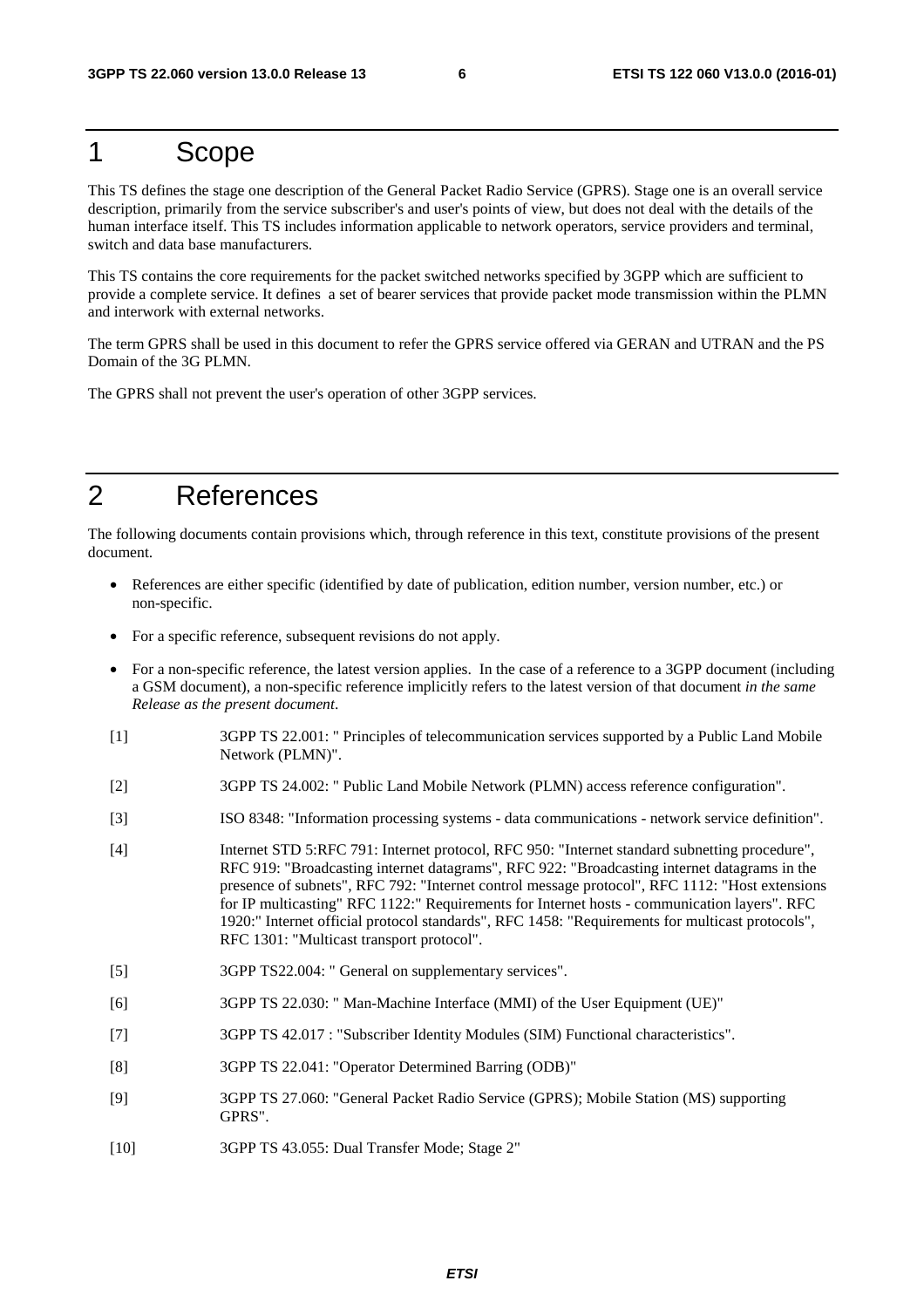# 1 Scope

This TS defines the stage one description of the General Packet Radio Service (GPRS). Stage one is an overall service description, primarily from the service subscriber's and user's points of view, but does not deal with the details of the human interface itself. This TS includes information applicable to network operators, service providers and terminal, switch and data base manufacturers.

This TS contains the core requirements for the packet switched networks specified by 3GPP which are sufficient to provide a complete service. It defines a set of bearer services that provide packet mode transmission within the PLMN and interwork with external networks.

The term GPRS shall be used in this document to refer the GPRS service offered via GERAN and UTRAN and the PS Domain of the 3G PLMN.

The GPRS shall not prevent the user's operation of other 3GPP services.

# 2 References

The following documents contain provisions which, through reference in this text, constitute provisions of the present document.

- References are either specific (identified by date of publication, edition number, version number, etc.) or non-specific.
- For a specific reference, subsequent revisions do not apply.
- For a non-specific reference, the latest version applies. In the case of a reference to a 3GPP document (including a GSM document), a non-specific reference implicitly refers to the latest version of that document *in the same Release as the present document*.
- [1] 3GPP TS 22.001: " Principles of telecommunication services supported by a Public Land Mobile Network (PLMN)".
- [2] 3GPP TS 24.002: " Public Land Mobile Network (PLMN) access reference configuration".
- [3] ISO 8348: "Information processing systems data communications network service definition".
- [4] Internet STD 5:RFC 791: Internet protocol, RFC 950: "Internet standard subnetting procedure", RFC 919: "Broadcasting internet datagrams", RFC 922: "Broadcasting internet datagrams in the presence of subnets", RFC 792: "Internet control message protocol", RFC 1112: "Host extensions for IP multicasting" RFC 1122:" Requirements for Internet hosts - communication layers". RFC 1920:" Internet official protocol standards", RFC 1458: "Requirements for multicast protocols", RFC 1301: "Multicast transport protocol".
- [5] 3GPP TS22.004: " General on supplementary services".
- [6] 3GPP TS 22.030: " Man-Machine Interface (MMI) of the User Equipment (UE)"
- [7] 3GPP TS 42.017 : "Subscriber Identity Modules (SIM) Functional characteristics".
- [8] 3GPP TS 22.041: "Operator Determined Barring (ODB)"
- [9] 3GPP TS 27.060: "General Packet Radio Service (GPRS); Mobile Station (MS) supporting GPRS".
- [10] 3GPP TS 43.055: Dual Transfer Mode; Stage 2"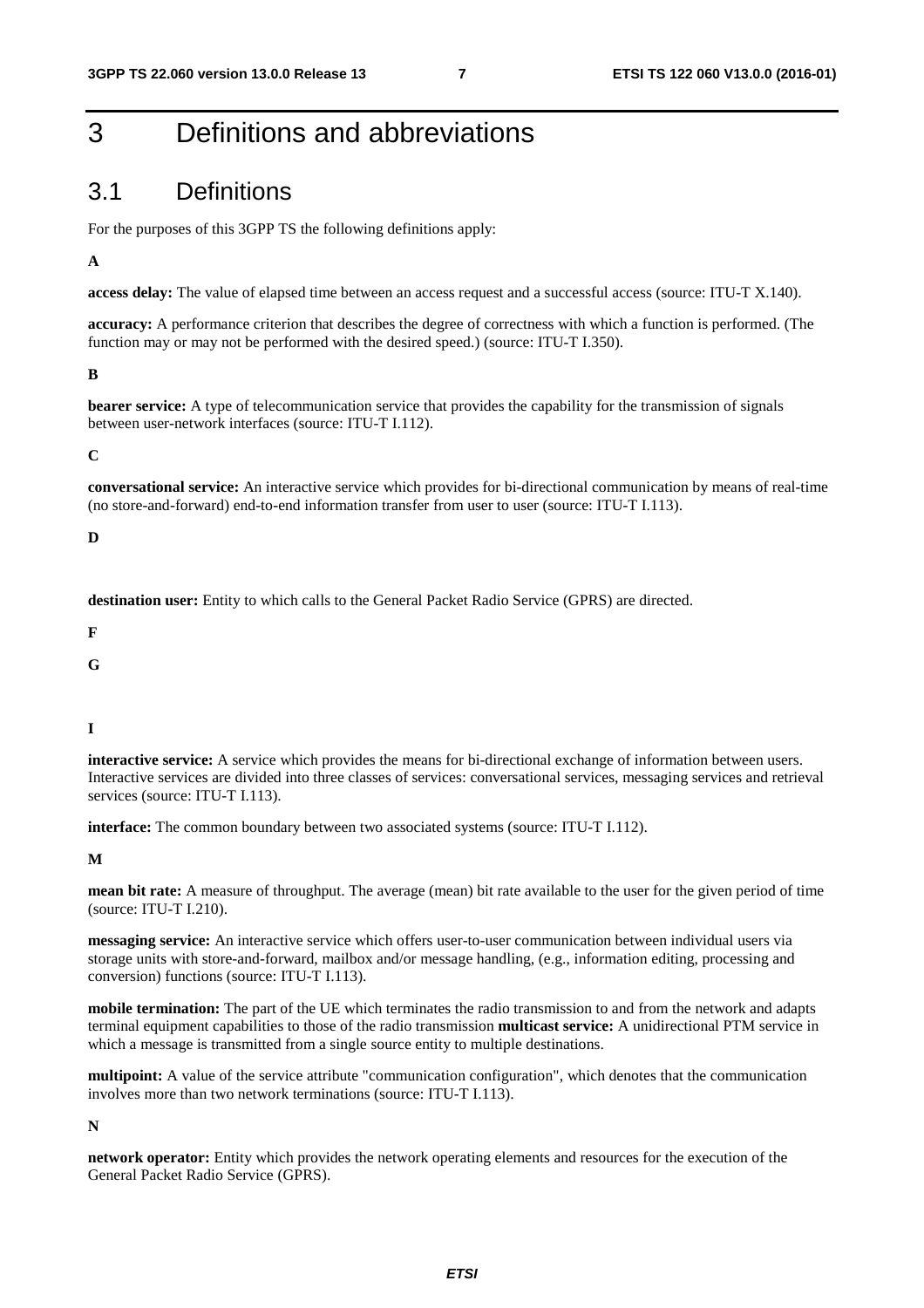# 3 Definitions and abbreviations

### 3.1 Definitions

For the purposes of this 3GPP TS the following definitions apply:

**A** 

**access delay:** The value of elapsed time between an access request and a successful access (source: ITU-T X.140).

**accuracy:** A performance criterion that describes the degree of correctness with which a function is performed. (The function may or may not be performed with the desired speed.) (source: ITU-T I.350).

**B** 

**bearer service:** A type of telecommunication service that provides the capability for the transmission of signals between user-network interfaces (source: ITU-T I.112).

**C** 

**conversational service:** An interactive service which provides for bi-directional communication by means of real-time (no store-and-forward) end-to-end information transfer from user to user (source: ITU-T I.113).

#### **D**

**destination user:** Entity to which calls to the General Packet Radio Service (GPRS) are directed.

**F** 

**G** 

**I** 

**interactive service:** A service which provides the means for bi-directional exchange of information between users. Interactive services are divided into three classes of services: conversational services, messaging services and retrieval services (source: ITU-T I.113).

**interface:** The common boundary between two associated systems (source: ITU-T I.112).

**M** 

**mean bit rate:** A measure of throughput. The average (mean) bit rate available to the user for the given period of time (source: ITU-T I.210).

**messaging service:** An interactive service which offers user-to-user communication between individual users via storage units with store-and-forward, mailbox and/or message handling, (e.g., information editing, processing and conversion) functions (source: ITU-T I.113).

**mobile termination:** The part of the UE which terminates the radio transmission to and from the network and adapts terminal equipment capabilities to those of the radio transmission **multicast service:** A unidirectional PTM service in which a message is transmitted from a single source entity to multiple destinations.

**multipoint:** A value of the service attribute "communication configuration", which denotes that the communication involves more than two network terminations (source: ITU-T I.113).

#### **N**

**network operator:** Entity which provides the network operating elements and resources for the execution of the General Packet Radio Service (GPRS).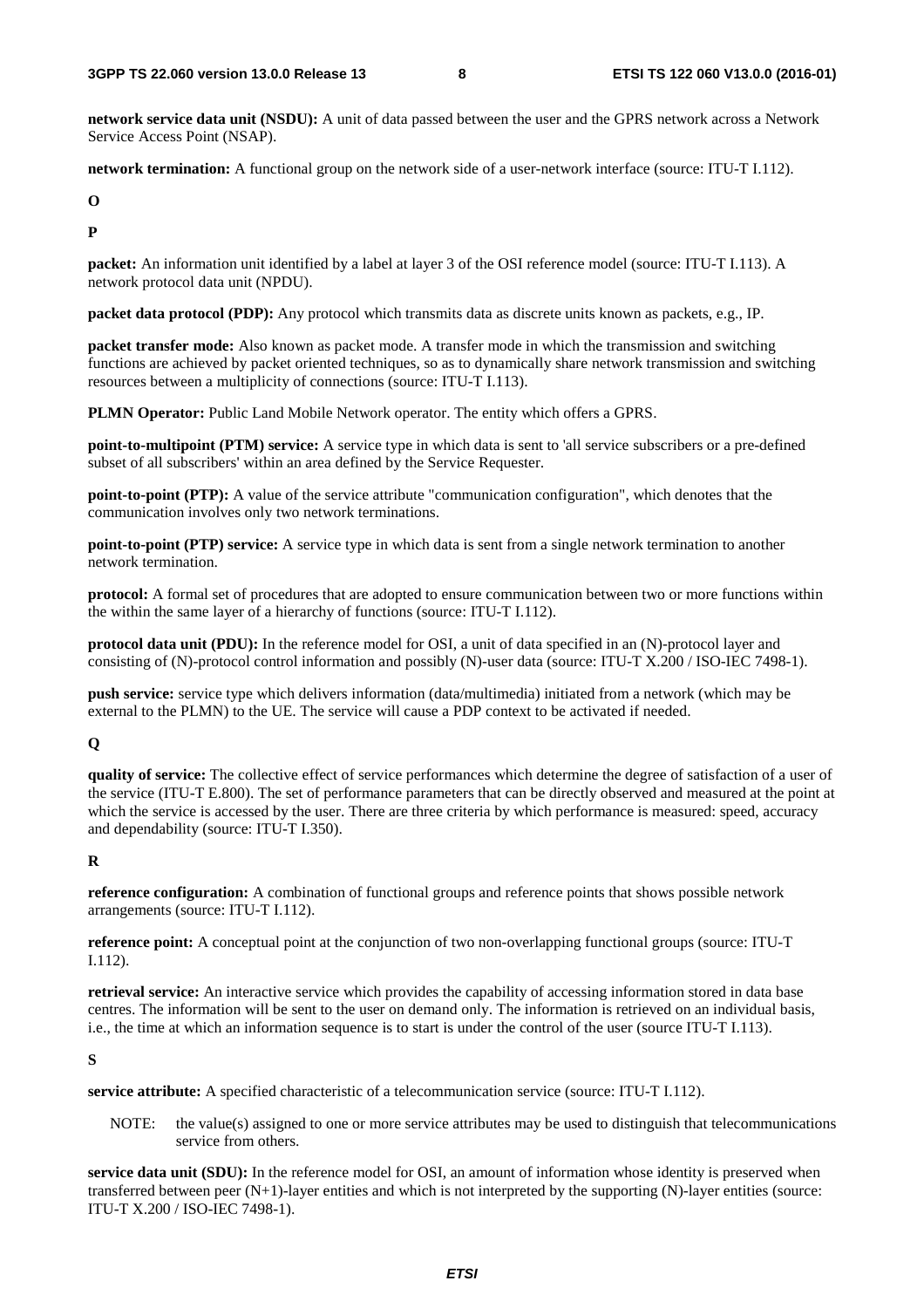**network service data unit (NSDU):** A unit of data passed between the user and the GPRS network across a Network Service Access Point (NSAP).

**network termination:** A functional group on the network side of a user-network interface (source: ITU-T I.112).

**O** 

**P** 

**packet:** An information unit identified by a label at layer 3 of the OSI reference model (source: ITU-T I.113). A network protocol data unit (NPDU).

**packet data protocol (PDP):** Any protocol which transmits data as discrete units known as packets, e.g., IP.

**packet transfer mode:** Also known as packet mode. A transfer mode in which the transmission and switching functions are achieved by packet oriented techniques, so as to dynamically share network transmission and switching resources between a multiplicity of connections (source: ITU-T I.113).

**PLMN Operator:** Public Land Mobile Network operator. The entity which offers a GPRS.

**point-to-multipoint (PTM) service:** A service type in which data is sent to 'all service subscribers or a pre-defined subset of all subscribers' within an area defined by the Service Requester.

**point-to-point (PTP):** A value of the service attribute "communication configuration", which denotes that the communication involves only two network terminations.

**point-to-point (PTP) service:** A service type in which data is sent from a single network termination to another network termination.

**protocol:** A formal set of procedures that are adopted to ensure communication between two or more functions within the within the same layer of a hierarchy of functions (source: ITU-T I.112).

**protocol data unit (PDU):** In the reference model for OSI, a unit of data specified in an (N)-protocol layer and consisting of (N)-protocol control information and possibly (N)-user data (source: ITU-T X.200 / ISO-IEC 7498-1).

**push service:** service type which delivers information (data/multimedia) initiated from a network (which may be external to the PLMN) to the UE. The service will cause a PDP context to be activated if needed.

#### **Q**

**quality of service:** The collective effect of service performances which determine the degree of satisfaction of a user of the service (ITU-T E.800). The set of performance parameters that can be directly observed and measured at the point at which the service is accessed by the user. There are three criteria by which performance is measured: speed, accuracy and dependability (source: ITU-T I.350).

#### **R**

**reference configuration:** A combination of functional groups and reference points that shows possible network arrangements (source: ITU-T I.112).

**reference point:** A conceptual point at the conjunction of two non-overlapping functional groups (source: ITU-T I.112).

**retrieval service:** An interactive service which provides the capability of accessing information stored in data base centres. The information will be sent to the user on demand only. The information is retrieved on an individual basis, i.e., the time at which an information sequence is to start is under the control of the user (source ITU-T I.113).

#### **S**

**service attribute:** A specified characteristic of a telecommunication service (source: ITU-T I.112).

NOTE: the value(s) assigned to one or more service attributes may be used to distinguish that telecommunications service from others.

**service data unit (SDU):** In the reference model for OSI, an amount of information whose identity is preserved when transferred between peer  $(N+1)$ -layer entities and which is not interpreted by the supporting  $(N)$ -layer entities (source: ITU-T X.200 / ISO-IEC 7498-1).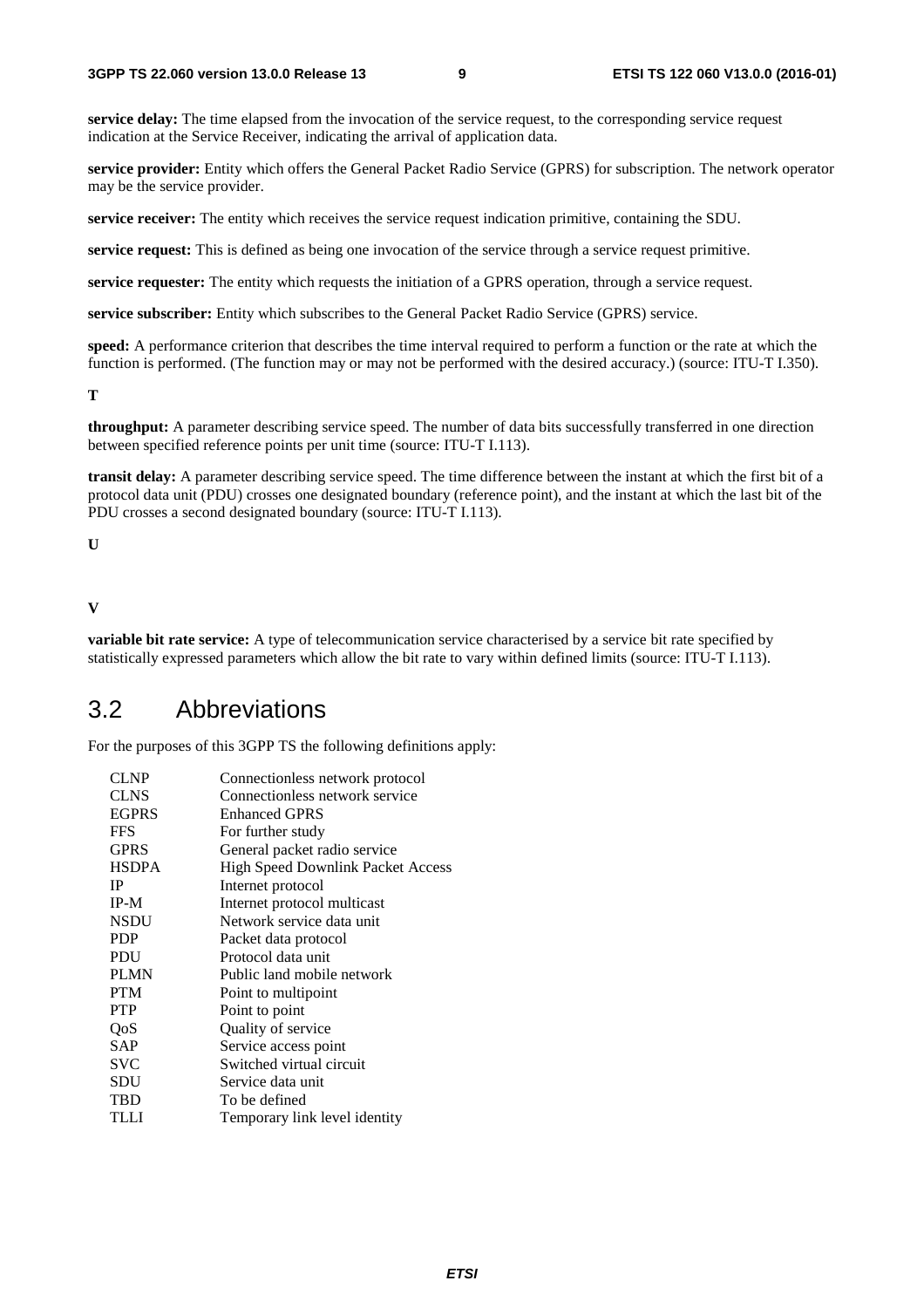**service delay:** The time elapsed from the invocation of the service request, to the corresponding service request indication at the Service Receiver, indicating the arrival of application data.

**service provider:** Entity which offers the General Packet Radio Service (GPRS) for subscription. The network operator may be the service provider.

**service receiver:** The entity which receives the service request indication primitive, containing the SDU.

**service request:** This is defined as being one invocation of the service through a service request primitive.

**service requester:** The entity which requests the initiation of a GPRS operation, through a service request.

**service subscriber:** Entity which subscribes to the General Packet Radio Service (GPRS) service.

**speed:** A performance criterion that describes the time interval required to perform a function or the rate at which the function is performed. (The function may or may not be performed with the desired accuracy.) (source: ITU-T I.350).

**T** 

**throughput:** A parameter describing service speed. The number of data bits successfully transferred in one direction between specified reference points per unit time (source: ITU-T I.113).

**transit delay:** A parameter describing service speed. The time difference between the instant at which the first bit of a protocol data unit (PDU) crosses one designated boundary (reference point), and the instant at which the last bit of the PDU crosses a second designated boundary (source: ITU-T I.113).

```
U
```
#### **V**

**variable bit rate service:** A type of telecommunication service characterised by a service bit rate specified by statistically expressed parameters which allow the bit rate to vary within defined limits (source: ITU-T I.113).

### 3.2 Abbreviations

For the purposes of this 3GPP TS the following definitions apply:

| Connectionless network protocol   |
|-----------------------------------|
| Connectionless network service    |
| <b>Enhanced GPRS</b>              |
| For further study                 |
| General packet radio service      |
| High Speed Downlink Packet Access |
| Internet protocol                 |
| Internet protocol multicast       |
| Network service data unit         |
| Packet data protocol              |
| Protocol data unit                |
| Public land mobile network        |
| Point to multipoint               |
| Point to point                    |
| Quality of service                |
| Service access point              |
| Switched virtual circuit          |
| Service data unit                 |
| To be defined                     |
| Temporary link level identity     |
|                                   |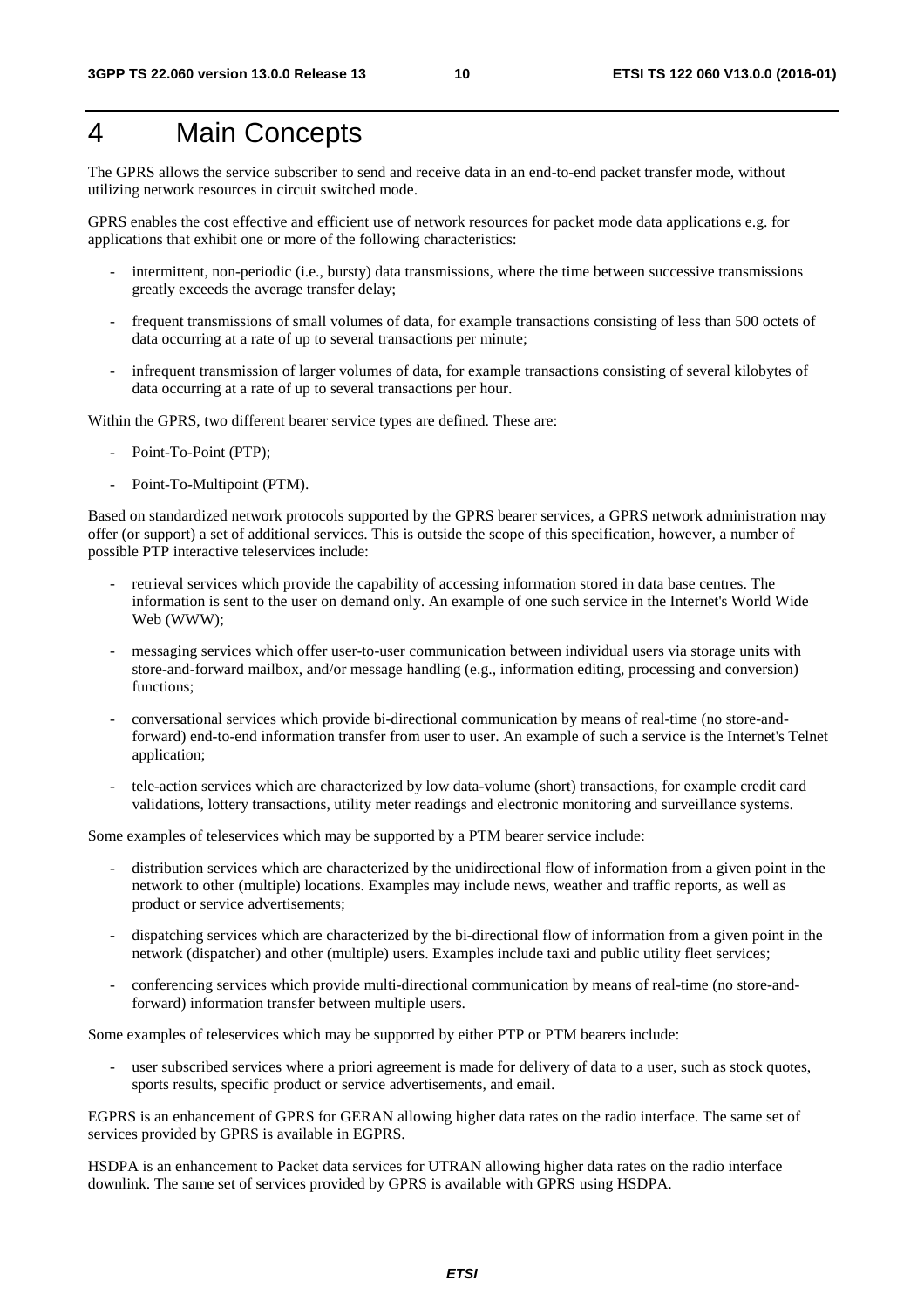# 4 Main Concepts

The GPRS allows the service subscriber to send and receive data in an end-to-end packet transfer mode, without utilizing network resources in circuit switched mode.

GPRS enables the cost effective and efficient use of network resources for packet mode data applications e.g. for applications that exhibit one or more of the following characteristics:

- intermittent, non-periodic (i.e., bursty) data transmissions, where the time between successive transmissions greatly exceeds the average transfer delay;
- frequent transmissions of small volumes of data, for example transactions consisting of less than 500 octets of data occurring at a rate of up to several transactions per minute;
- infrequent transmission of larger volumes of data, for example transactions consisting of several kilobytes of data occurring at a rate of up to several transactions per hour.

Within the GPRS, two different bearer service types are defined. These are:

- Point-To-Point (PTP);
- Point-To-Multipoint (PTM).

Based on standardized network protocols supported by the GPRS bearer services, a GPRS network administration may offer (or support) a set of additional services. This is outside the scope of this specification, however, a number of possible PTP interactive teleservices include:

- retrieval services which provide the capability of accessing information stored in data base centres. The information is sent to the user on demand only. An example of one such service in the Internet's World Wide Web (WWW);
- messaging services which offer user-to-user communication between individual users via storage units with store-and-forward mailbox, and/or message handling (e.g., information editing, processing and conversion) functions;
- conversational services which provide bi-directional communication by means of real-time (no store-andforward) end-to-end information transfer from user to user. An example of such a service is the Internet's Telnet application;
- tele-action services which are characterized by low data-volume (short) transactions, for example credit card validations, lottery transactions, utility meter readings and electronic monitoring and surveillance systems.

Some examples of teleservices which may be supported by a PTM bearer service include:

- distribution services which are characterized by the unidirectional flow of information from a given point in the network to other (multiple) locations. Examples may include news, weather and traffic reports, as well as product or service advertisements;
- dispatching services which are characterized by the bi-directional flow of information from a given point in the network (dispatcher) and other (multiple) users. Examples include taxi and public utility fleet services;
- conferencing services which provide multi-directional communication by means of real-time (no store-andforward) information transfer between multiple users.

Some examples of teleservices which may be supported by either PTP or PTM bearers include:

user subscribed services where a priori agreement is made for delivery of data to a user, such as stock quotes, sports results, specific product or service advertisements, and email.

EGPRS is an enhancement of GPRS for GERAN allowing higher data rates on the radio interface. The same set of services provided by GPRS is available in EGPRS.

HSDPA is an enhancement to Packet data services for UTRAN allowing higher data rates on the radio interface downlink. The same set of services provided by GPRS is available with GPRS using HSDPA.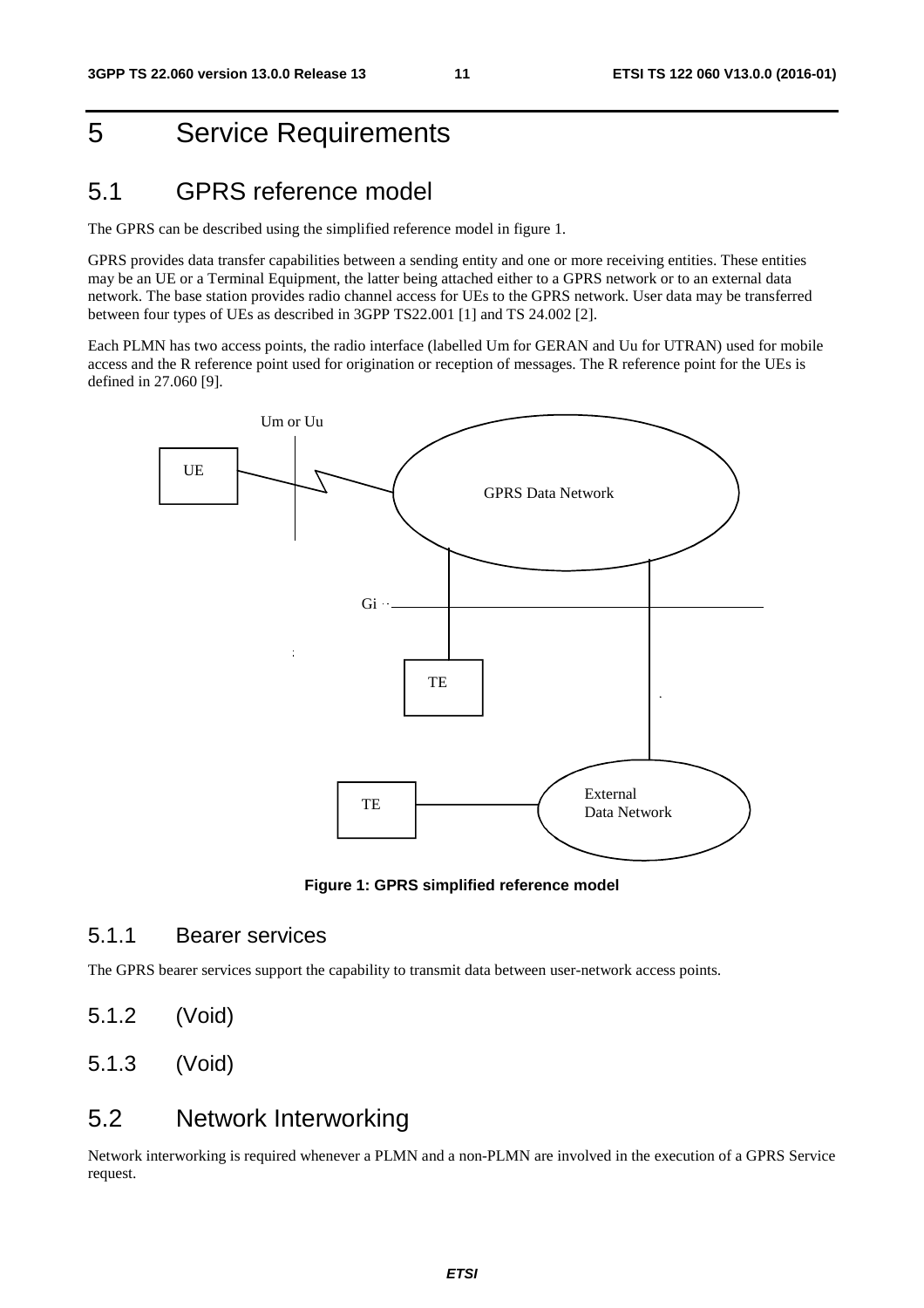# 5 Service Requirements

### 5.1 GPRS reference model

The GPRS can be described using the simplified reference model in figure 1.

GPRS provides data transfer capabilities between a sending entity and one or more receiving entities. These entities may be an UE or a Terminal Equipment, the latter being attached either to a GPRS network or to an external data network. The base station provides radio channel access for UEs to the GPRS network. User data may be transferred between four types of UEs as described in 3GPP TS22.001 [1] and TS 24.002 [2].

Each PLMN has two access points, the radio interface (labelled Um for GERAN and Uu for UTRAN) used for mobile access and the R reference point used for origination or reception of messages. The R reference point for the UEs is defined in 27.060 [9].



**Figure 1: GPRS simplified reference model** 

#### 5.1.1 Bearer services

The GPRS bearer services support the capability to transmit data between user-network access points.

- 5.1.2 (Void)
- 5.1.3 (Void)

### 5.2 Network Interworking

Network interworking is required whenever a PLMN and a non-PLMN are involved in the execution of a GPRS Service request.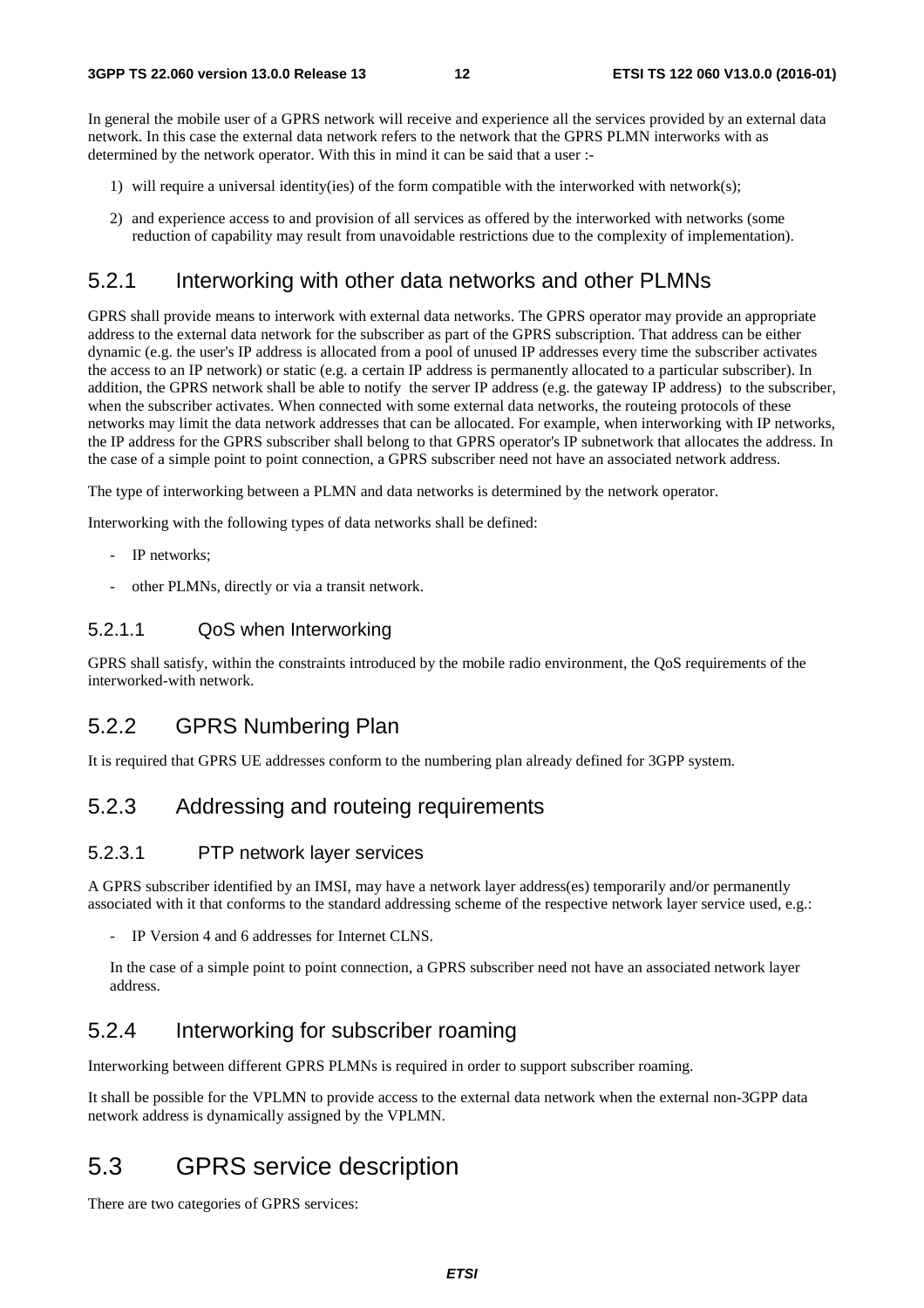In general the mobile user of a GPRS network will receive and experience all the services provided by an external data network. In this case the external data network refers to the network that the GPRS PLMN interworks with as determined by the network operator. With this in mind it can be said that a user :-

- 1) will require a universal identity(ies) of the form compatible with the interworked with network(s);
- 2) and experience access to and provision of all services as offered by the interworked with networks (some reduction of capability may result from unavoidable restrictions due to the complexity of implementation).

#### 5.2.1 Interworking with other data networks and other PLMNs

GPRS shall provide means to interwork with external data networks. The GPRS operator may provide an appropriate address to the external data network for the subscriber as part of the GPRS subscription. That address can be either dynamic (e.g. the user's IP address is allocated from a pool of unused IP addresses every time the subscriber activates the access to an IP network) or static (e.g. a certain IP address is permanently allocated to a particular subscriber). In addition, the GPRS network shall be able to notify the server IP address (e.g. the gateway IP address) to the subscriber, when the subscriber activates. When connected with some external data networks, the routeing protocols of these networks may limit the data network addresses that can be allocated. For example, when interworking with IP networks, the IP address for the GPRS subscriber shall belong to that GPRS operator's IP subnetwork that allocates the address. In the case of a simple point to point connection, a GPRS subscriber need not have an associated network address.

The type of interworking between a PLMN and data networks is determined by the network operator.

Interworking with the following types of data networks shall be defined:

- IP networks:
- other PLMNs, directly or via a transit network.

#### 5.2.1.1 QoS when Interworking

GPRS shall satisfy, within the constraints introduced by the mobile radio environment, the QoS requirements of the interworked-with network.

#### 5.2.2 GPRS Numbering Plan

It is required that GPRS UE addresses conform to the numbering plan already defined for 3GPP system.

#### 5.2.3 Addressing and routeing requirements

#### 5.2.3.1 PTP network layer services

A GPRS subscriber identified by an IMSI, may have a network layer address(es) temporarily and/or permanently associated with it that conforms to the standard addressing scheme of the respective network layer service used, e.g.:

IP Version 4 and 6 addresses for Internet CLNS.

In the case of a simple point to point connection, a GPRS subscriber need not have an associated network layer address.

#### 5.2.4 Interworking for subscriber roaming

Interworking between different GPRS PLMNs is required in order to support subscriber roaming.

It shall be possible for the VPLMN to provide access to the external data network when the external non-3GPP data network address is dynamically assigned by the VPLMN.

### 5.3 GPRS service description

There are two categories of GPRS services: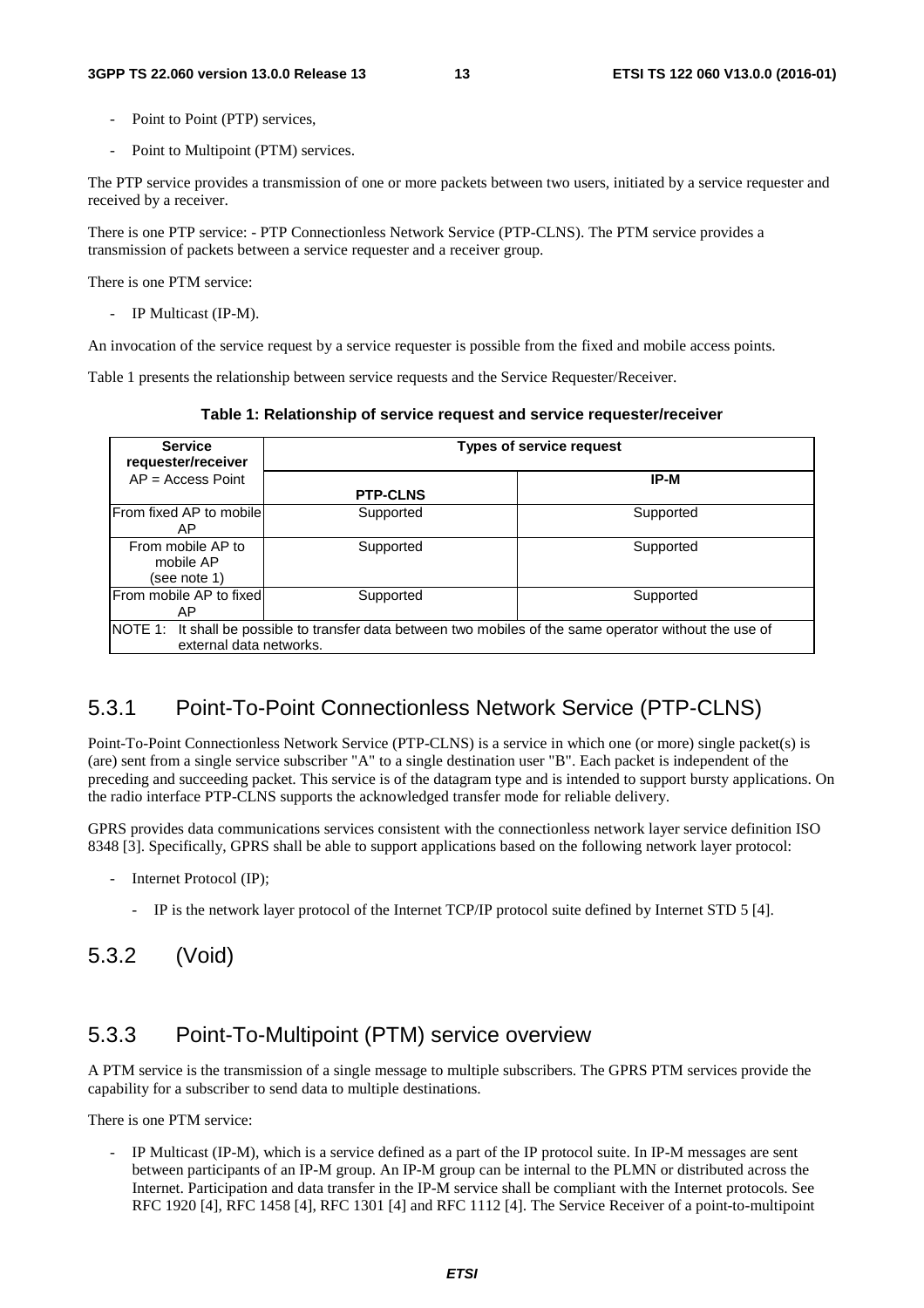- Point to Point (PTP) services.
- Point to Multipoint (PTM) services.

The PTP service provides a transmission of one or more packets between two users, initiated by a service requester and received by a receiver.

There is one PTP service: - PTP Connectionless Network Service (PTP-CLNS). The PTM service provides a transmission of packets between a service requester and a receiver group.

There is one PTM service:

- IP Multicast (IP-M).

An invocation of the service request by a service requester is possible from the fixed and mobile access points.

Table 1 presents the relationship between service requests and the Service Requester/Receiver.

**Table 1: Relationship of service request and service requester/receiver** 

| <b>Service</b><br>requester/receiver                                                                      |                 | <b>Types of service request</b> |
|-----------------------------------------------------------------------------------------------------------|-----------------|---------------------------------|
| $AP = Access Point$                                                                                       |                 | IP-M                            |
|                                                                                                           | <b>PTP-CLNS</b> |                                 |
| <b>From fixed AP to mobile</b>                                                                            | Supported       | Supported                       |
| AP                                                                                                        |                 |                                 |
| From mobile AP to                                                                                         | Supported       | Supported                       |
| mobile AP                                                                                                 |                 |                                 |
| (see note 1)                                                                                              |                 |                                 |
| From mobile AP to fixed                                                                                   | Supported       | Supported                       |
| AP                                                                                                        |                 |                                 |
| NOTE 1: It shall be possible to transfer data between two mobiles of the same operator without the use of |                 |                                 |
| external data networks.                                                                                   |                 |                                 |

#### 5.3.1 Point-To-Point Connectionless Network Service (PTP-CLNS)

Point-To-Point Connectionless Network Service (PTP-CLNS) is a service in which one (or more) single packet(s) is (are) sent from a single service subscriber "A" to a single destination user "B". Each packet is independent of the preceding and succeeding packet. This service is of the datagram type and is intended to support bursty applications. On the radio interface PTP-CLNS supports the acknowledged transfer mode for reliable delivery.

GPRS provides data communications services consistent with the connectionless network layer service definition ISO 8348 [3]. Specifically, GPRS shall be able to support applications based on the following network layer protocol:

- Internet Protocol (IP);
	- IP is the network layer protocol of the Internet TCP/IP protocol suite defined by Internet STD 5 [4].

#### 5.3.2 (Void)

#### 5.3.3 Point-To-Multipoint (PTM) service overview

A PTM service is the transmission of a single message to multiple subscribers. The GPRS PTM services provide the capability for a subscriber to send data to multiple destinations.

There is one PTM service:

IP Multicast (IP-M), which is a service defined as a part of the IP protocol suite. In IP-M messages are sent between participants of an IP-M group. An IP-M group can be internal to the PLMN or distributed across the Internet. Participation and data transfer in the IP-M service shall be compliant with the Internet protocols. See RFC 1920 [4], RFC 1458 [4], RFC 1301 [4] and RFC 1112 [4]. The Service Receiver of a point-to-multipoint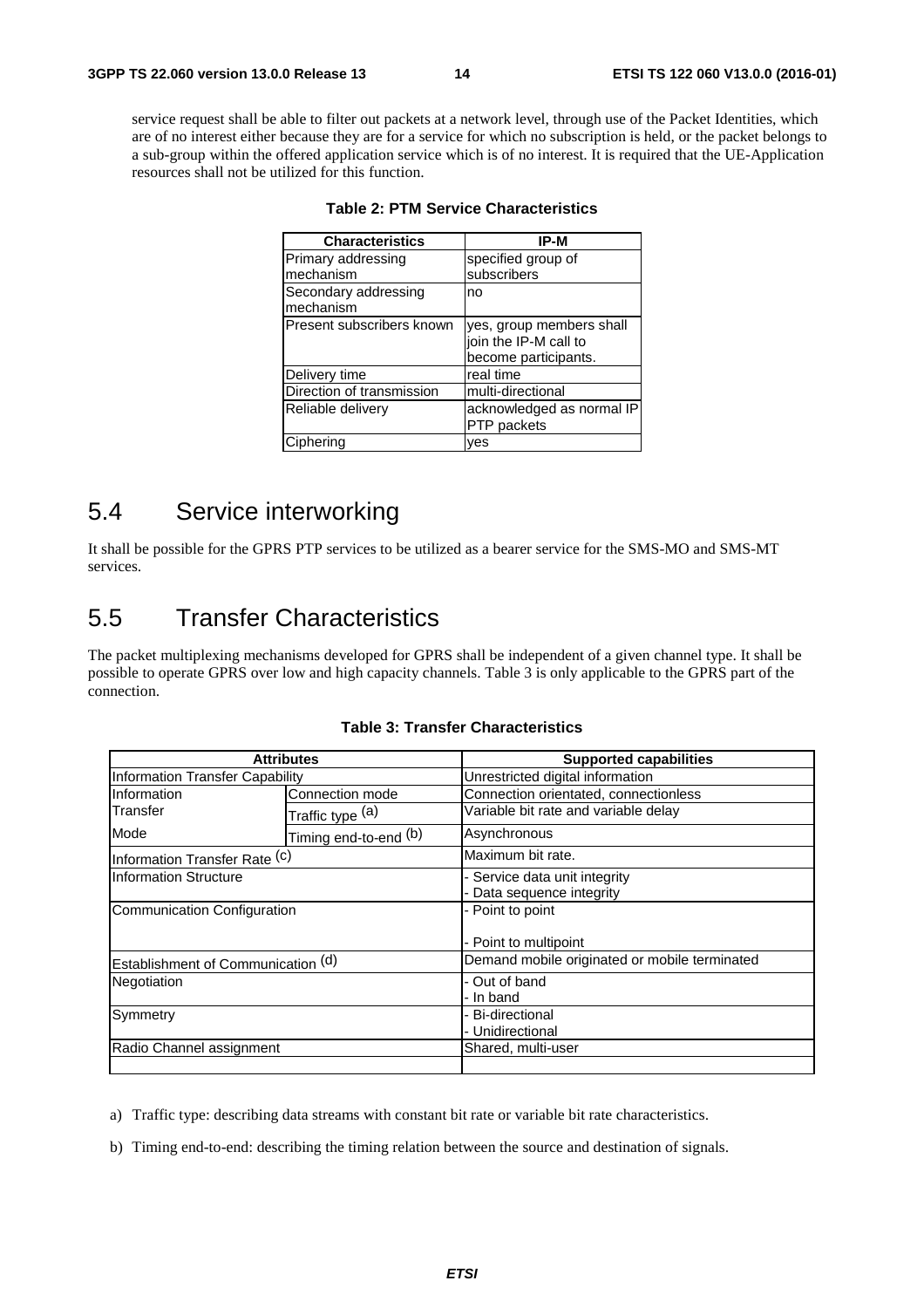service request shall be able to filter out packets at a network level, through use of the Packet Identities, which are of no interest either because they are for a service for which no subscription is held, or the packet belongs to a sub-group within the offered application service which is of no interest. It is required that the UE-Application resources shall not be utilized for this function.

| <b>Characteristics</b>            | IP-M                                                                      |
|-----------------------------------|---------------------------------------------------------------------------|
| Primary addressing                | specified group of                                                        |
| mechanism                         | subscribers                                                               |
| Secondary addressing<br>mechanism | no                                                                        |
| Present subscribers known         | yes, group members shall<br>join the IP-M call to<br>become participants. |
| Delivery time                     | real time                                                                 |
| Direction of transmission         | multi-directional                                                         |
| Reliable delivery                 | acknowledged as normal IP<br>PTP packets                                  |
| Ciphering                         | ves                                                                       |

|  |  |  | <b>Table 2: PTM Service Characteristics</b> |
|--|--|--|---------------------------------------------|
|--|--|--|---------------------------------------------|

### 5.4 Service interworking

It shall be possible for the GPRS PTP services to be utilized as a bearer service for the SMS-MO and SMS-MT services.

### 5.5 Transfer Characteristics

The packet multiplexing mechanisms developed for GPRS shall be independent of a given channel type. It shall be possible to operate GPRS over low and high capacity channels. Table 3 is only applicable to the GPRS part of the connection.

|                                        | <b>Attributes</b>     | <b>Supported capabilities</b>                              |
|----------------------------------------|-----------------------|------------------------------------------------------------|
| <b>Information Transfer Capability</b> |                       | Unrestricted digital information                           |
| Information                            | Connection mode       | Connection orientated, connectionless                      |
| Transfer                               | Traffic type (a)      | Variable bit rate and variable delay                       |
| Mode                                   | Timing end-to-end (b) | Asynchronous                                               |
| Information Transfer Rate (c)          |                       | Maximum bit rate.                                          |
| <b>Information Structure</b>           |                       | - Service data unit integrity<br>- Data sequence integrity |
| Communication Configuration            |                       | - Point to point<br>- Point to multipoint                  |
| Establishment of Communication (d)     |                       | Demand mobile originated or mobile terminated              |
| Negotiation                            |                       | - Out of band<br>- In band                                 |
| Symmetry                               |                       | - Bi-directional<br>- Unidirectional                       |
| Radio Channel assignment               |                       | Shared, multi-user                                         |

#### **Table 3: Transfer Characteristics**

a) Traffic type: describing data streams with constant bit rate or variable bit rate characteristics.

b) Timing end-to-end: describing the timing relation between the source and destination of signals.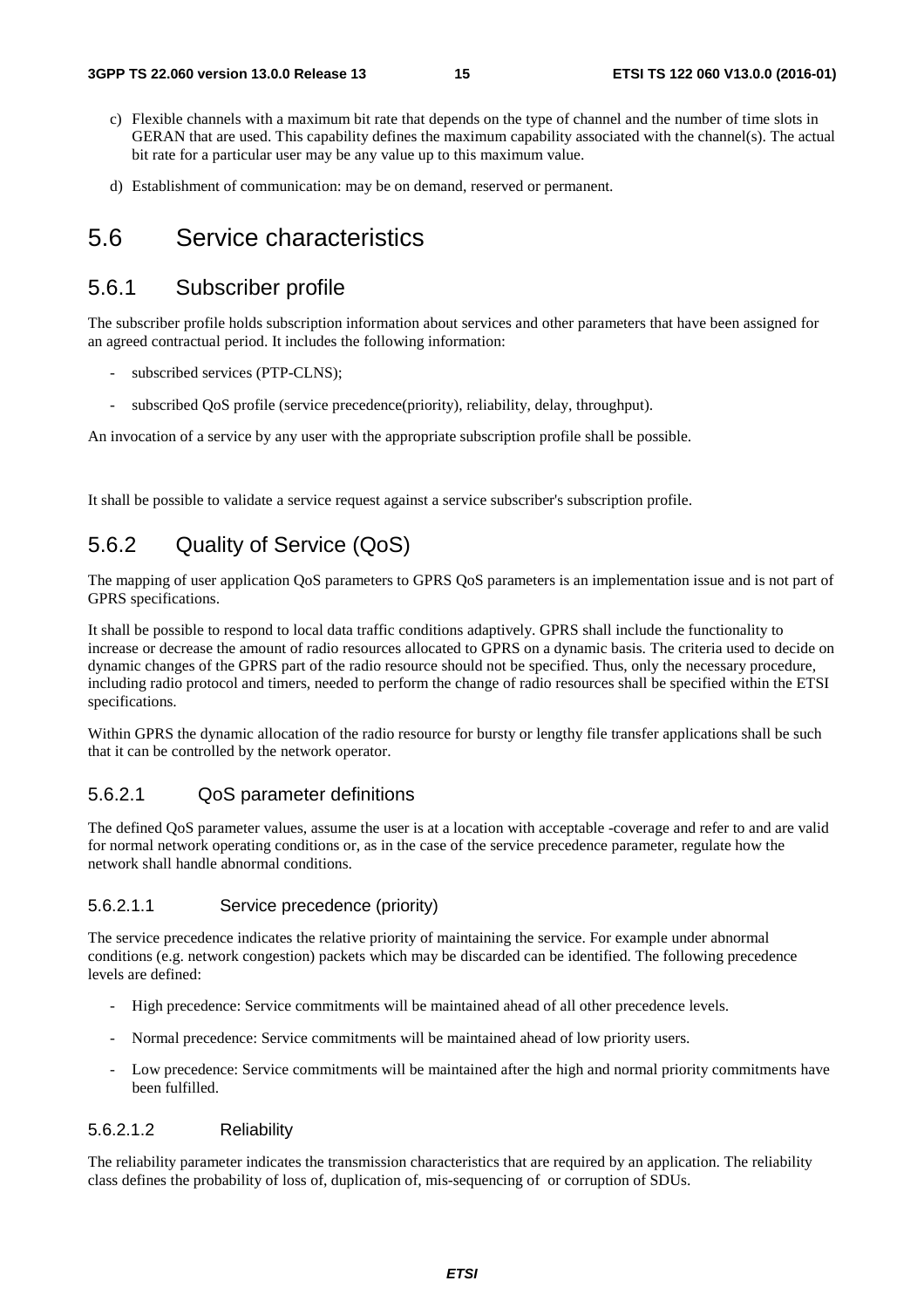- c) Flexible channels with a maximum bit rate that depends on the type of channel and the number of time slots in GERAN that are used. This capability defines the maximum capability associated with the channel(s). The actual bit rate for a particular user may be any value up to this maximum value.
- d) Establishment of communication: may be on demand, reserved or permanent.

### 5.6 Service characteristics

#### 5.6.1 Subscriber profile

The subscriber profile holds subscription information about services and other parameters that have been assigned for an agreed contractual period. It includes the following information:

- subscribed services (PTP-CLNS);
- subscribed OoS profile (service precedence(priority), reliability, delay, throughput).

An invocation of a service by any user with the appropriate subscription profile shall be possible.

It shall be possible to validate a service request against a service subscriber's subscription profile.

#### 5.6.2 Quality of Service (QoS)

The mapping of user application QoS parameters to GPRS QoS parameters is an implementation issue and is not part of GPRS specifications.

It shall be possible to respond to local data traffic conditions adaptively. GPRS shall include the functionality to increase or decrease the amount of radio resources allocated to GPRS on a dynamic basis. The criteria used to decide on dynamic changes of the GPRS part of the radio resource should not be specified. Thus, only the necessary procedure, including radio protocol and timers, needed to perform the change of radio resources shall be specified within the ETSI specifications.

Within GPRS the dynamic allocation of the radio resource for bursty or lengthy file transfer applications shall be such that it can be controlled by the network operator.

#### 5.6.2.1 QoS parameter definitions

The defined QoS parameter values, assume the user is at a location with acceptable -coverage and refer to and are valid for normal network operating conditions or, as in the case of the service precedence parameter, regulate how the network shall handle abnormal conditions.

#### 5.6.2.1.1 Service precedence (priority)

The service precedence indicates the relative priority of maintaining the service. For example under abnormal conditions (e.g. network congestion) packets which may be discarded can be identified. The following precedence levels are defined:

- High precedence: Service commitments will be maintained ahead of all other precedence levels.
- Normal precedence: Service commitments will be maintained ahead of low priority users.
- Low precedence: Service commitments will be maintained after the high and normal priority commitments have been fulfilled.

#### 5.6.2.1.2 Reliability

The reliability parameter indicates the transmission characteristics that are required by an application. The reliability class defines the probability of loss of, duplication of, mis-sequencing of or corruption of SDUs.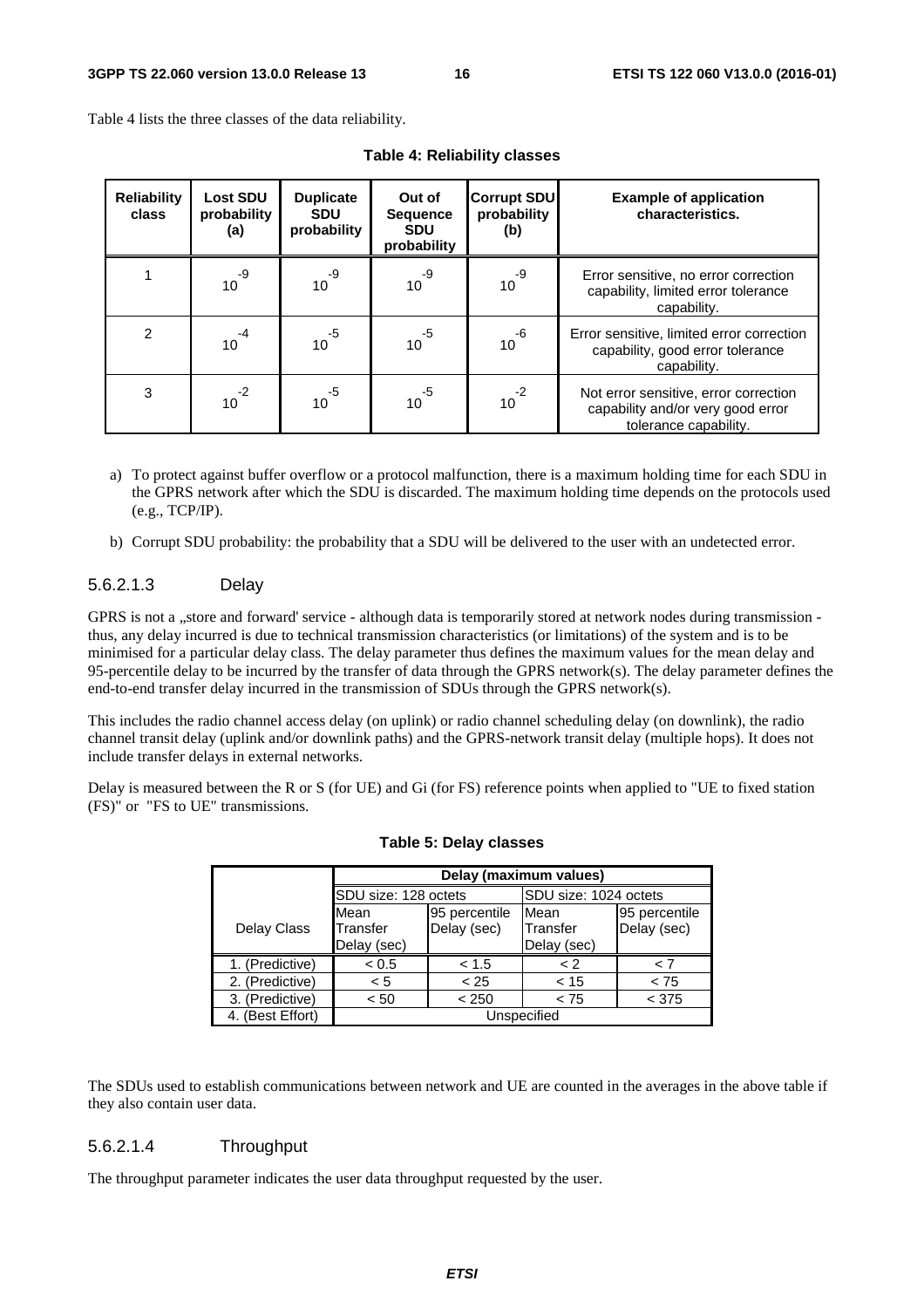Table 4 lists the three classes of the data reliability.

| <b>Reliability</b><br>class | <b>Lost SDU</b><br>probability<br>(a) | <b>Duplicate</b><br><b>SDU</b><br>probability | Out of<br><b>Sequence</b><br><b>SDU</b><br>probability | <b>Corrupt SDU</b><br>probability<br>(b) | <b>Example of application</b><br>characteristics.                                                   |
|-----------------------------|---------------------------------------|-----------------------------------------------|--------------------------------------------------------|------------------------------------------|-----------------------------------------------------------------------------------------------------|
|                             | $10^{-9}$                             | $10^{-9}$                                     | $10^{-9}$                                              | $10^{-9}$                                | Error sensitive, no error correction<br>capability, limited error tolerance<br>capability.          |
| 2                           | -4<br>10                              | $10^{-5}$                                     | $10^{5}$                                               | $10^{-6}$                                | Error sensitive, limited error correction<br>capability, good error tolerance<br>capability.        |
| 3                           | $10^{-2}$                             | -5<br>10                                      | $10^{-5}$                                              | $-2$<br>10 <sup>1</sup>                  | Not error sensitive, error correction<br>capability and/or very good error<br>tolerance capability. |

**Table 4: Reliability classes** 

- a) To protect against buffer overflow or a protocol malfunction, there is a maximum holding time for each SDU in the GPRS network after which the SDU is discarded. The maximum holding time depends on the protocols used (e.g., TCP/IP).
- b) Corrupt SDU probability: the probability that a SDU will be delivered to the user with an undetected error.

#### 5.6.2.1.3 Delay

GPRS is not a "store and forward' service - although data is temporarily stored at network nodes during transmission thus, any delay incurred is due to technical transmission characteristics (or limitations) of the system and is to be minimised for a particular delay class. The delay parameter thus defines the maximum values for the mean delay and 95-percentile delay to be incurred by the transfer of data through the GPRS network(s). The delay parameter defines the end-to-end transfer delay incurred in the transmission of SDUs through the GPRS network(s).

This includes the radio channel access delay (on uplink) or radio channel scheduling delay (on downlink), the radio channel transit delay (uplink and/or downlink paths) and the GPRS-network transit delay (multiple hops). It does not include transfer delays in external networks.

Delay is measured between the R or S (for UE) and Gi (for FS) reference points when applied to "UE to fixed station (FS)" or "FS to UE" transmissions.

|                    | Delay (maximum values)          |                              |                                 |                              |  |
|--------------------|---------------------------------|------------------------------|---------------------------------|------------------------------|--|
|                    | SDU size: 128 octets            |                              | SDU size: 1024 octets           |                              |  |
| <b>Delay Class</b> | Mean<br>Transfer<br>Delay (sec) | 95 percentile<br>Delay (sec) | Mean<br>Transfer<br>Delay (sec) | 95 percentile<br>Delay (sec) |  |
| 1. (Predictive)    | < 0.5                           | < 1.5                        | < 2                             | < 7                          |  |
| 2. (Predictive)    | < 5                             | < 25                         | < 15                            | < 75                         |  |
| 3. (Predictive)    | < 50                            | < 250                        | < 75                            | < 375                        |  |
| 4. (Best Effort)   | Unspecified                     |                              |                                 |                              |  |

|  |  |  | Table 5: Delay classes |
|--|--|--|------------------------|
|--|--|--|------------------------|

The SDUs used to establish communications between network and UE are counted in the averages in the above table if they also contain user data.

#### 5.6.2.1.4 Throughput

The throughput parameter indicates the user data throughput requested by the user.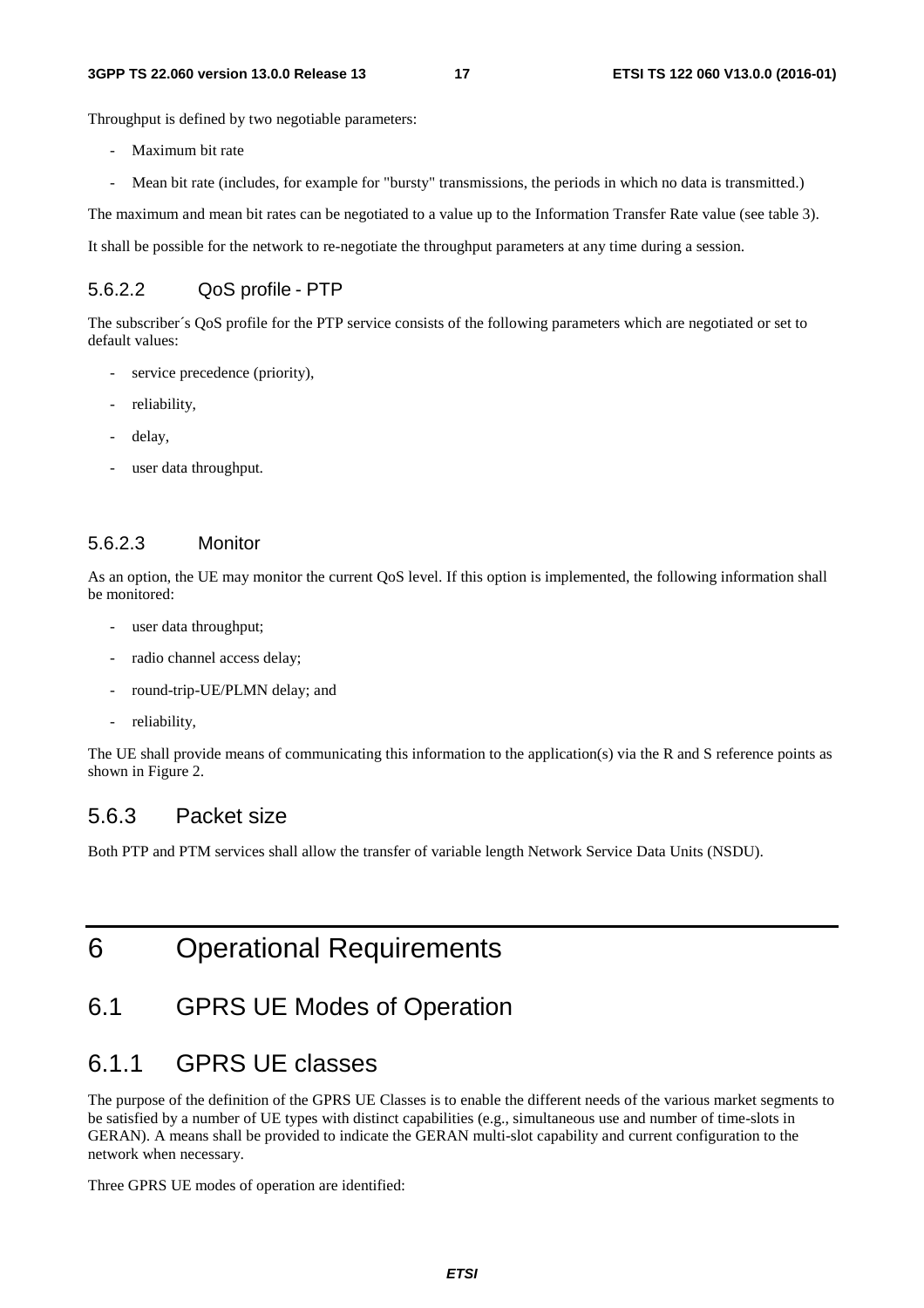#### **3GPP TS 22.060 version 13.0.0 Release 13 17 ETSI TS 122 060 V13.0.0 (2016-01)**

Throughput is defined by two negotiable parameters:

- Maximum bit rate
- Mean bit rate (includes, for example for "bursty" transmissions, the periods in which no data is transmitted.)

The maximum and mean bit rates can be negotiated to a value up to the Information Transfer Rate value (see table 3).

It shall be possible for the network to re-negotiate the throughput parameters at any time during a session.

#### 5.6.2.2 QoS profile - PTP

The subscriber´s QoS profile for the PTP service consists of the following parameters which are negotiated or set to default values:

- service precedence (priority),
- reliability,
- delay.
- user data throughput.

#### 5.6.2.3 Monitor

As an option, the UE may monitor the current QoS level. If this option is implemented, the following information shall be monitored:

- user data throughput;
- radio channel access delay;
- round-trip-UE/PLMN delay; and
- reliability,

The UE shall provide means of communicating this information to the application(s) via the R and S reference points as shown in Figure 2.

#### 5.6.3 Packet size

Both PTP and PTM services shall allow the transfer of variable length Network Service Data Units (NSDU).

# 6 Operational Requirements

# 6.1 GPRS UE Modes of Operation

### 6.1.1 GPRS UE classes

The purpose of the definition of the GPRS UE Classes is to enable the different needs of the various market segments to be satisfied by a number of UE types with distinct capabilities (e.g., simultaneous use and number of time-slots in GERAN). A means shall be provided to indicate the GERAN multi-slot capability and current configuration to the network when necessary.

Three GPRS UE modes of operation are identified: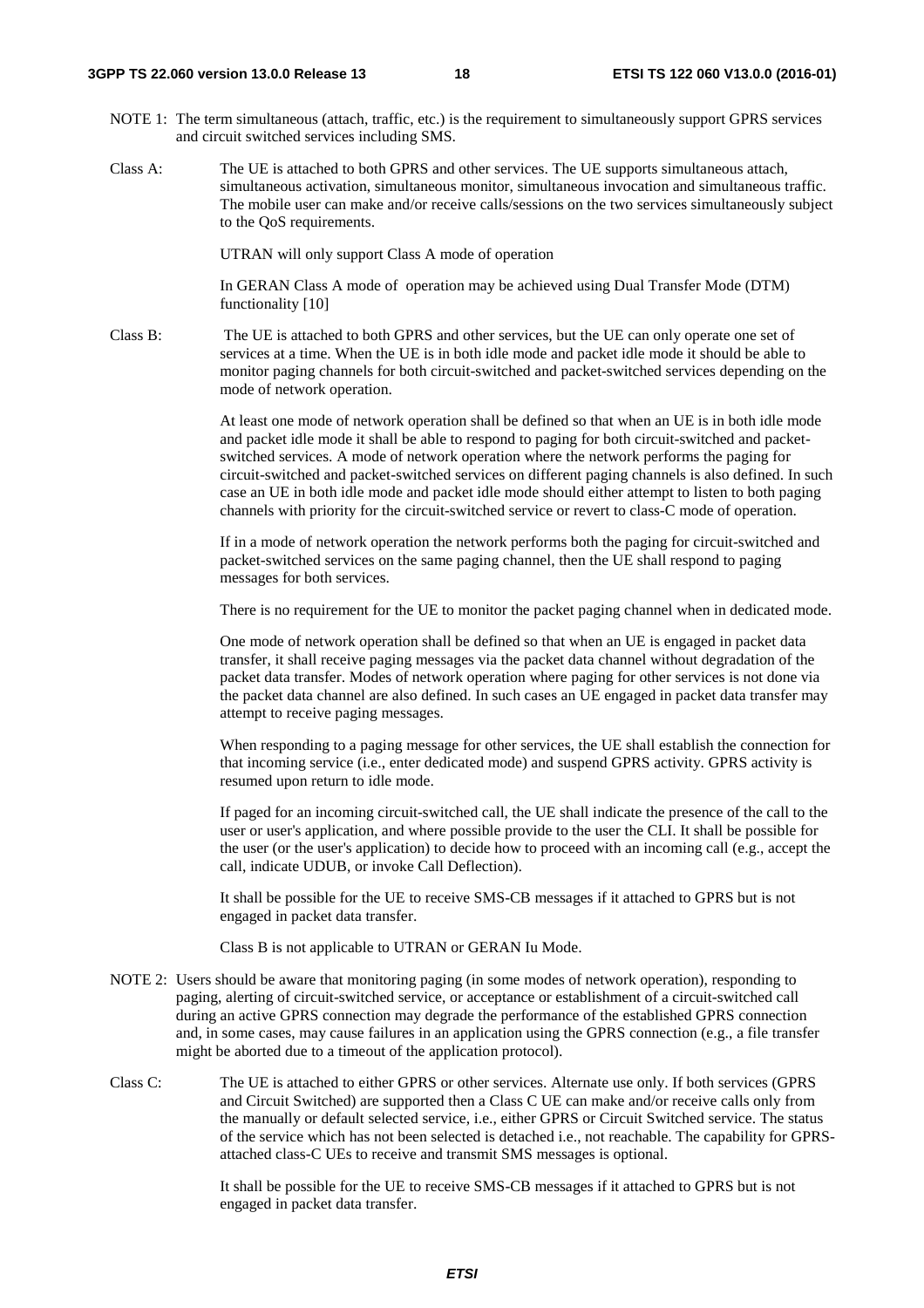- NOTE 1: The term simultaneous (attach, traffic, etc.) is the requirement to simultaneously support GPRS services and circuit switched services including SMS.
- Class A: The UE is attached to both GPRS and other services. The UE supports simultaneous attach, simultaneous activation, simultaneous monitor, simultaneous invocation and simultaneous traffic. The mobile user can make and/or receive calls/sessions on the two services simultaneously subject to the QoS requirements.

UTRAN will only support Class A mode of operation

 In GERAN Class A mode of operation may be achieved using Dual Transfer Mode (DTM) functionality [10]

Class B: The UE is attached to both GPRS and other services, but the UE can only operate one set of services at a time. When the UE is in both idle mode and packet idle mode it should be able to monitor paging channels for both circuit-switched and packet-switched services depending on the mode of network operation.

> At least one mode of network operation shall be defined so that when an UE is in both idle mode and packet idle mode it shall be able to respond to paging for both circuit-switched and packetswitched services. A mode of network operation where the network performs the paging for circuit-switched and packet-switched services on different paging channels is also defined. In such case an UE in both idle mode and packet idle mode should either attempt to listen to both paging channels with priority for the circuit-switched service or revert to class-C mode of operation.

 If in a mode of network operation the network performs both the paging for circuit-switched and packet-switched services on the same paging channel, then the UE shall respond to paging messages for both services.

There is no requirement for the UE to monitor the packet paging channel when in dedicated mode.

 One mode of network operation shall be defined so that when an UE is engaged in packet data transfer, it shall receive paging messages via the packet data channel without degradation of the packet data transfer. Modes of network operation where paging for other services is not done via the packet data channel are also defined. In such cases an UE engaged in packet data transfer may attempt to receive paging messages.

When responding to a paging message for other services, the UE shall establish the connection for that incoming service (i.e., enter dedicated mode) and suspend GPRS activity. GPRS activity is resumed upon return to idle mode.

If paged for an incoming circuit-switched call, the UE shall indicate the presence of the call to the user or user's application, and where possible provide to the user the CLI. It shall be possible for the user (or the user's application) to decide how to proceed with an incoming call (e.g., accept the call, indicate UDUB, or invoke Call Deflection).

It shall be possible for the UE to receive SMS-CB messages if it attached to GPRS but is not engaged in packet data transfer.

Class B is not applicable to UTRAN or GERAN Iu Mode.

- NOTE 2: Users should be aware that monitoring paging (in some modes of network operation), responding to paging, alerting of circuit-switched service, or acceptance or establishment of a circuit-switched call during an active GPRS connection may degrade the performance of the established GPRS connection and, in some cases, may cause failures in an application using the GPRS connection (e.g., a file transfer might be aborted due to a timeout of the application protocol).
- Class C: The UE is attached to either GPRS or other services. Alternate use only. If both services (GPRS and Circuit Switched) are supported then a Class C UE can make and/or receive calls only from the manually or default selected service, i.e., either GPRS or Circuit Switched service. The status of the service which has not been selected is detached i.e., not reachable. The capability for GPRSattached class-C UEs to receive and transmit SMS messages is optional.

It shall be possible for the UE to receive SMS-CB messages if it attached to GPRS but is not engaged in packet data transfer.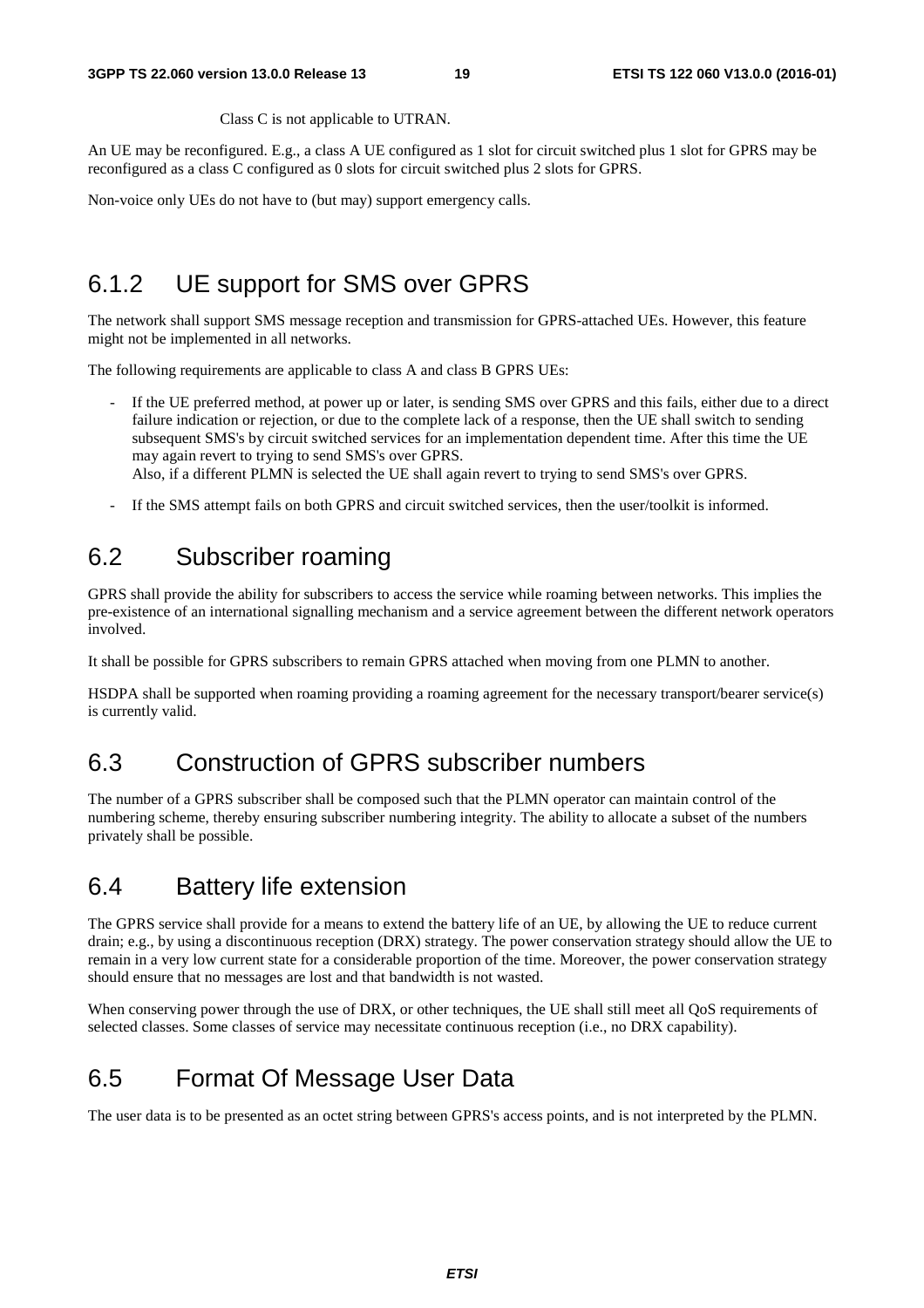Class C is not applicable to UTRAN.

An UE may be reconfigured. E.g., a class A UE configured as 1 slot for circuit switched plus 1 slot for GPRS may be reconfigured as a class C configured as 0 slots for circuit switched plus 2 slots for GPRS.

Non-voice only UEs do not have to (but may) support emergency calls.

### 6.1.2 UE support for SMS over GPRS

The network shall support SMS message reception and transmission for GPRS-attached UEs. However, this feature might not be implemented in all networks.

The following requirements are applicable to class A and class B GPRS UEs:

- If the UE preferred method, at power up or later, is sending SMS over GPRS and this fails, either due to a direct failure indication or rejection, or due to the complete lack of a response, then the UE shall switch to sending subsequent SMS's by circuit switched services for an implementation dependent time. After this time the UE may again revert to trying to send SMS's over GPRS. Also, if a different PLMN is selected the UE shall again revert to trying to send SMS's over GPRS.
- If the SMS attempt fails on both GPRS and circuit switched services, then the user/toolkit is informed.

### 6.2 Subscriber roaming

GPRS shall provide the ability for subscribers to access the service while roaming between networks. This implies the pre-existence of an international signalling mechanism and a service agreement between the different network operators involved.

It shall be possible for GPRS subscribers to remain GPRS attached when moving from one PLMN to another.

HSDPA shall be supported when roaming providing a roaming agreement for the necessary transport/bearer service(s) is currently valid.

### 6.3 Construction of GPRS subscriber numbers

The number of a GPRS subscriber shall be composed such that the PLMN operator can maintain control of the numbering scheme, thereby ensuring subscriber numbering integrity. The ability to allocate a subset of the numbers privately shall be possible.

### 6.4 Battery life extension

The GPRS service shall provide for a means to extend the battery life of an UE, by allowing the UE to reduce current drain; e.g., by using a discontinuous reception (DRX) strategy. The power conservation strategy should allow the UE to remain in a very low current state for a considerable proportion of the time. Moreover, the power conservation strategy should ensure that no messages are lost and that bandwidth is not wasted.

When conserving power through the use of DRX, or other techniques, the UE shall still meet all QoS requirements of selected classes. Some classes of service may necessitate continuous reception (i.e., no DRX capability).

### 6.5 Format Of Message User Data

The user data is to be presented as an octet string between GPRS's access points, and is not interpreted by the PLMN.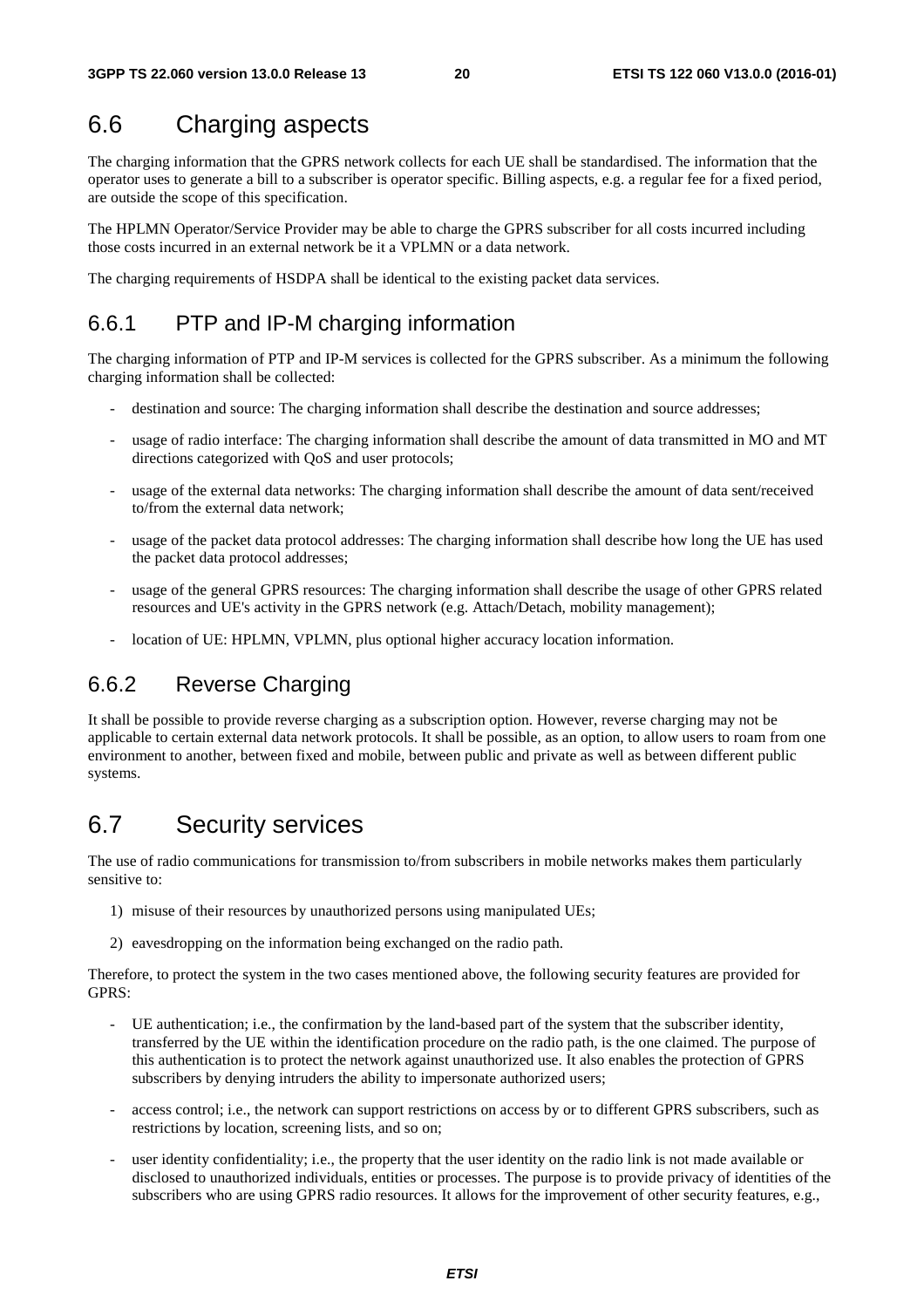# 6.6 Charging aspects

The charging information that the GPRS network collects for each UE shall be standardised. The information that the operator uses to generate a bill to a subscriber is operator specific. Billing aspects, e.g. a regular fee for a fixed period, are outside the scope of this specification.

The HPLMN Operator/Service Provider may be able to charge the GPRS subscriber for all costs incurred including those costs incurred in an external network be it a VPLMN or a data network.

The charging requirements of HSDPA shall be identical to the existing packet data services.

#### 6.6.1 PTP and IP-M charging information

The charging information of PTP and IP-M services is collected for the GPRS subscriber. As a minimum the following charging information shall be collected:

- destination and source: The charging information shall describe the destination and source addresses;
- usage of radio interface: The charging information shall describe the amount of data transmitted in MO and MT directions categorized with QoS and user protocols;
- usage of the external data networks: The charging information shall describe the amount of data sent/received to/from the external data network;
- usage of the packet data protocol addresses: The charging information shall describe how long the UE has used the packet data protocol addresses;
- usage of the general GPRS resources: The charging information shall describe the usage of other GPRS related resources and UE's activity in the GPRS network (e.g. Attach/Detach, mobility management);
- location of UE: HPLMN, VPLMN, plus optional higher accuracy location information.

#### 6.6.2 Reverse Charging

It shall be possible to provide reverse charging as a subscription option. However, reverse charging may not be applicable to certain external data network protocols. It shall be possible, as an option, to allow users to roam from one environment to another, between fixed and mobile, between public and private as well as between different public systems.

### 6.7 Security services

The use of radio communications for transmission to/from subscribers in mobile networks makes them particularly sensitive to:

- 1) misuse of their resources by unauthorized persons using manipulated UEs;
- 2) eavesdropping on the information being exchanged on the radio path.

Therefore, to protect the system in the two cases mentioned above, the following security features are provided for GPRS:

- UE authentication; i.e., the confirmation by the land-based part of the system that the subscriber identity, transferred by the UE within the identification procedure on the radio path, is the one claimed. The purpose of this authentication is to protect the network against unauthorized use. It also enables the protection of GPRS subscribers by denying intruders the ability to impersonate authorized users;
- access control; i.e., the network can support restrictions on access by or to different GPRS subscribers, such as restrictions by location, screening lists, and so on;
- user identity confidentiality; i.e., the property that the user identity on the radio link is not made available or disclosed to unauthorized individuals, entities or processes. The purpose is to provide privacy of identities of the subscribers who are using GPRS radio resources. It allows for the improvement of other security features, e.g.,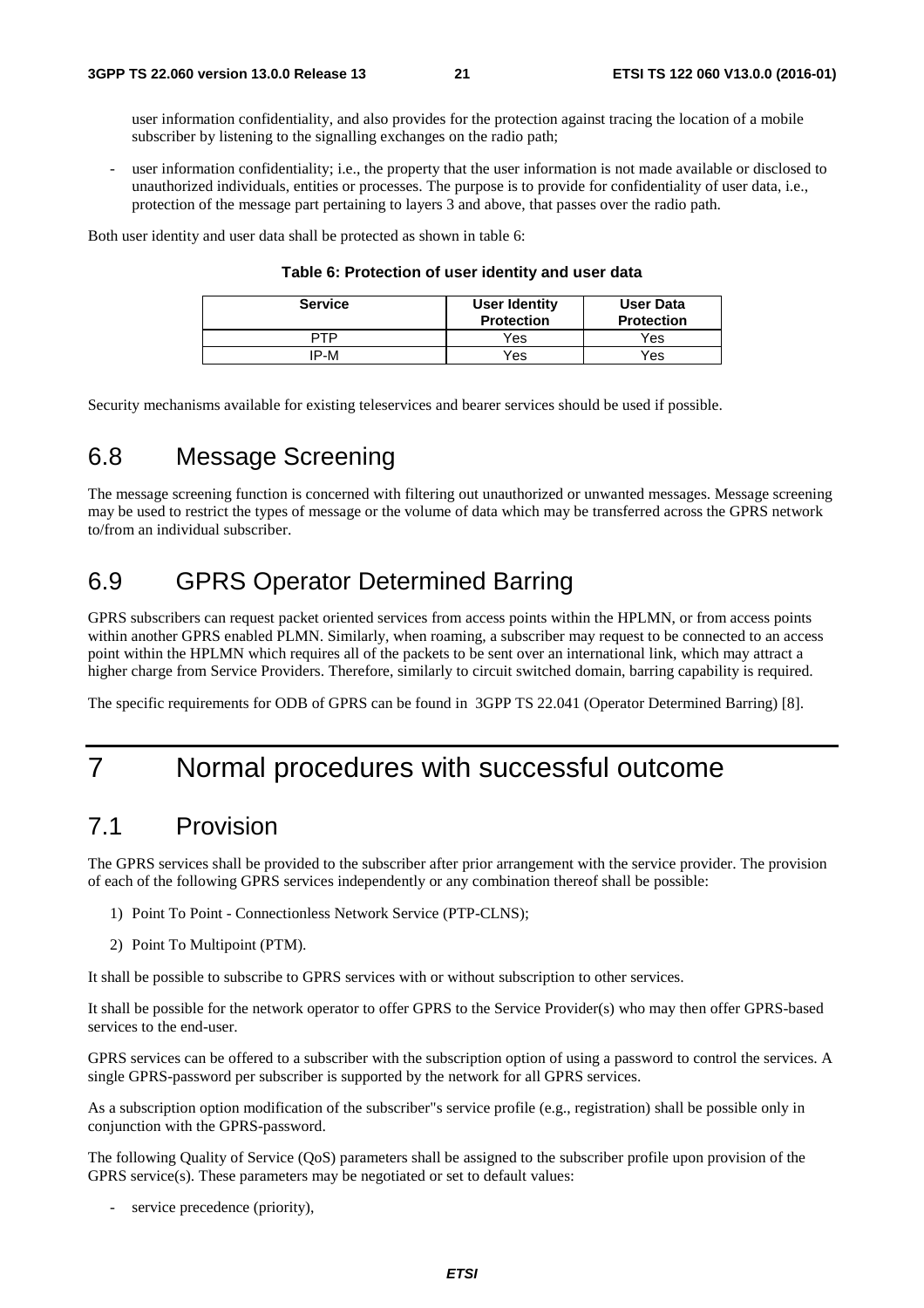user information confidentiality, and also provides for the protection against tracing the location of a mobile subscriber by listening to the signalling exchanges on the radio path;

user information confidentiality; i.e., the property that the user information is not made available or disclosed to unauthorized individuals, entities or processes. The purpose is to provide for confidentiality of user data, i.e., protection of the message part pertaining to layers 3 and above, that passes over the radio path.

Both user identity and user data shall be protected as shown in table 6:

| Table 6: Protection of user identity and user data |  |  |  |  |
|----------------------------------------------------|--|--|--|--|
|----------------------------------------------------|--|--|--|--|

| <b>Service</b> | <b>User Identity</b><br><b>Protection</b> | <b>User Data</b><br><b>Protection</b> |
|----------------|-------------------------------------------|---------------------------------------|
| PTP            | Yes                                       | Yes                                   |
| IP-M           | Yes                                       | Yes                                   |

Security mechanisms available for existing teleservices and bearer services should be used if possible.

### 6.8 Message Screening

The message screening function is concerned with filtering out unauthorized or unwanted messages. Message screening may be used to restrict the types of message or the volume of data which may be transferred across the GPRS network to/from an individual subscriber.

### 6.9 GPRS Operator Determined Barring

GPRS subscribers can request packet oriented services from access points within the HPLMN, or from access points within another GPRS enabled PLMN. Similarly, when roaming, a subscriber may request to be connected to an access point within the HPLMN which requires all of the packets to be sent over an international link, which may attract a higher charge from Service Providers. Therefore, similarly to circuit switched domain, barring capability is required.

The specific requirements for ODB of GPRS can be found in 3GPP TS 22.041 (Operator Determined Barring) [8].

# 7 Normal procedures with successful outcome

### 7.1 Provision

The GPRS services shall be provided to the subscriber after prior arrangement with the service provider. The provision of each of the following GPRS services independently or any combination thereof shall be possible:

- 1) Point To Point Connectionless Network Service (PTP-CLNS);
- 2) Point To Multipoint (PTM).

It shall be possible to subscribe to GPRS services with or without subscription to other services.

It shall be possible for the network operator to offer GPRS to the Service Provider(s) who may then offer GPRS-based services to the end-user.

GPRS services can be offered to a subscriber with the subscription option of using a password to control the services. A single GPRS-password per subscriber is supported by the network for all GPRS services.

As a subscription option modification of the subscriber"s service profile (e.g., registration) shall be possible only in conjunction with the GPRS-password.

The following Quality of Service (QoS) parameters shall be assigned to the subscriber profile upon provision of the GPRS service(s). These parameters may be negotiated or set to default values:

service precedence (priority),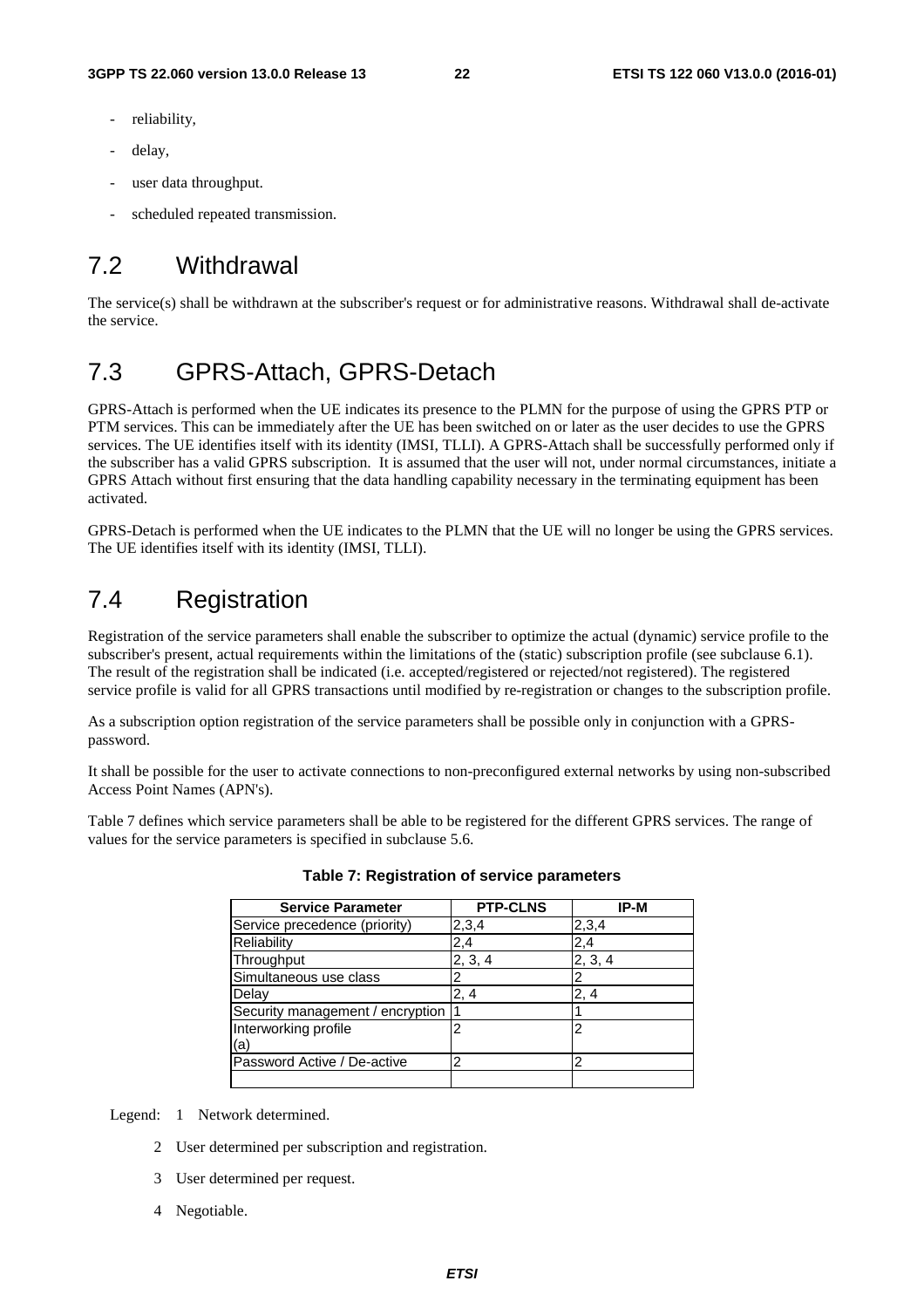- reliability.
- delay,
- user data throughput.
- scheduled repeated transmission.

# 7.2 Withdrawal

The service(s) shall be withdrawn at the subscriber's request or for administrative reasons. Withdrawal shall de-activate the service.

### 7.3 GPRS-Attach, GPRS-Detach

GPRS-Attach is performed when the UE indicates its presence to the PLMN for the purpose of using the GPRS PTP or PTM services. This can be immediately after the UE has been switched on or later as the user decides to use the GPRS services. The UE identifies itself with its identity (IMSI, TLLI). A GPRS-Attach shall be successfully performed only if the subscriber has a valid GPRS subscription. It is assumed that the user will not, under normal circumstances, initiate a GPRS Attach without first ensuring that the data handling capability necessary in the terminating equipment has been activated.

GPRS-Detach is performed when the UE indicates to the PLMN that the UE will no longer be using the GPRS services. The UE identifies itself with its identity (IMSI, TLLI).

# 7.4 Registration

Registration of the service parameters shall enable the subscriber to optimize the actual (dynamic) service profile to the subscriber's present, actual requirements within the limitations of the (static) subscription profile (see subclause 6.1). The result of the registration shall be indicated (i.e. accepted/registered or rejected/not registered). The registered service profile is valid for all GPRS transactions until modified by re-registration or changes to the subscription profile.

As a subscription option registration of the service parameters shall be possible only in conjunction with a GPRSpassword.

It shall be possible for the user to activate connections to non-preconfigured external networks by using non-subscribed Access Point Names (APN's).

Table 7 defines which service parameters shall be able to be registered for the different GPRS services. The range of values for the service parameters is specified in subclause 5.6.

| <b>Service Parameter</b>           | <b>PTP-CLNS</b> | IP-M    |
|------------------------------------|-----------------|---------|
| Service precedence (priority)      | 2,3,4           | 2,3,4   |
| Reliability                        | 2,4             | 2,4     |
| Throughput                         | 2, 3, 4         | 2, 3, 4 |
| Simultaneous use class             | 2               | 2       |
| Delay                              | 2, 4            | 2, 4    |
| Security management / encryption 1 |                 |         |
| Interworking profile               | 2               | 2       |
| (a)                                |                 |         |
| Password Active / De-active        | 2               | 2       |
|                                    |                 |         |

**Table 7: Registration of service parameters** 

Legend: 1 Network determined.

- 2 User determined per subscription and registration.
- 3 User determined per request.
- 4 Negotiable.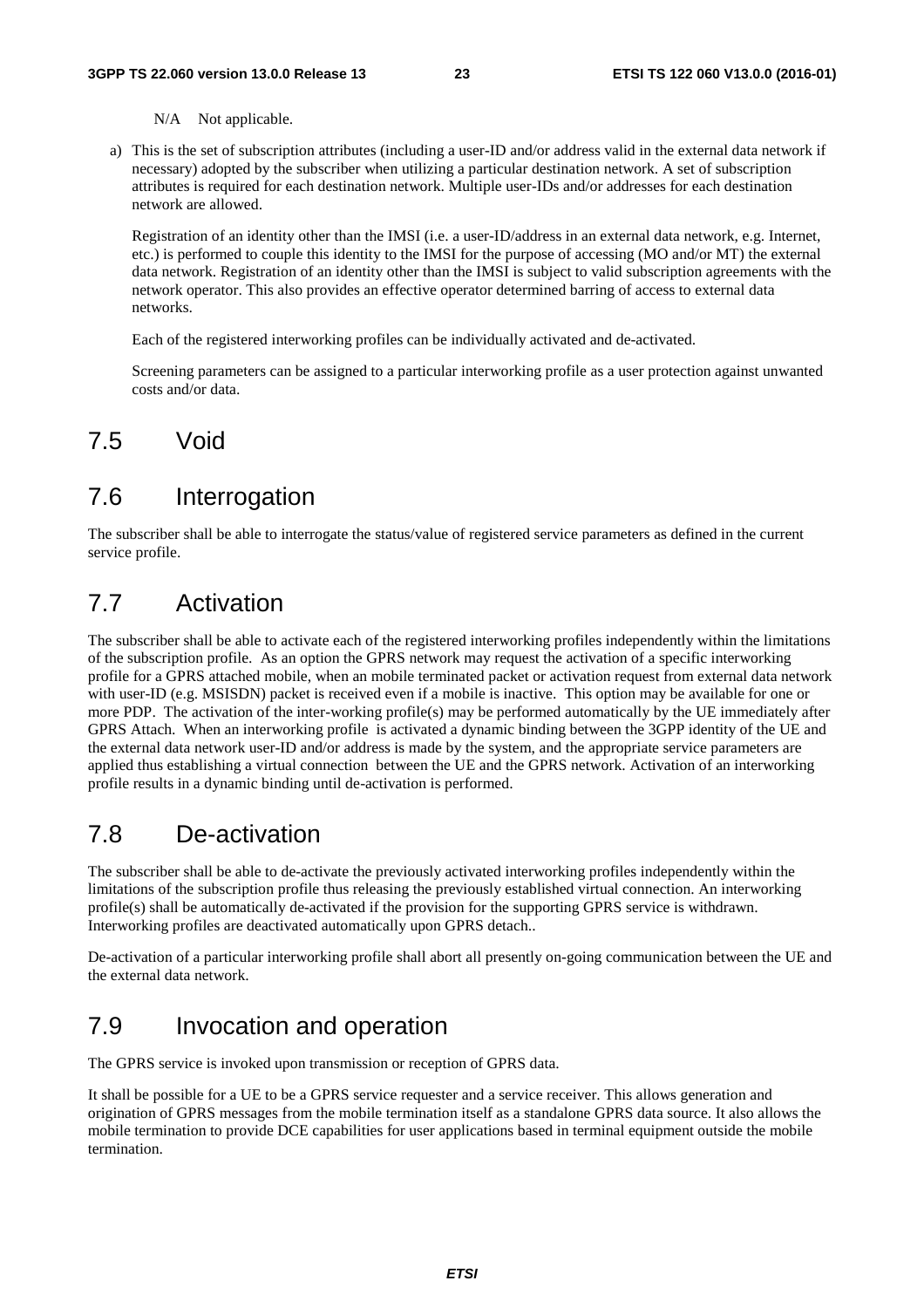N/A Not applicable.

a) This is the set of subscription attributes (including a user-ID and/or address valid in the external data network if necessary) adopted by the subscriber when utilizing a particular destination network. A set of subscription attributes is required for each destination network. Multiple user-IDs and/or addresses for each destination network are allowed.

 Registration of an identity other than the IMSI (i.e. a user-ID/address in an external data network, e.g. Internet, etc.) is performed to couple this identity to the IMSI for the purpose of accessing (MO and/or MT) the external data network. Registration of an identity other than the IMSI is subject to valid subscription agreements with the network operator. This also provides an effective operator determined barring of access to external data networks.

Each of the registered interworking profiles can be individually activated and de-activated.

 Screening parameters can be assigned to a particular interworking profile as a user protection against unwanted costs and/or data.

### 7.5 Void

### 7.6 Interrogation

The subscriber shall be able to interrogate the status/value of registered service parameters as defined in the current service profile.

### 7.7 Activation

The subscriber shall be able to activate each of the registered interworking profiles independently within the limitations of the subscription profile. As an option the GPRS network may request the activation of a specific interworking profile for a GPRS attached mobile, when an mobile terminated packet or activation request from external data network with user-ID (e.g. MSISDN) packet is received even if a mobile is inactive. This option may be available for one or more PDP. The activation of the inter-working profile(s) may be performed automatically by the UE immediately after GPRS Attach. When an interworking profile is activated a dynamic binding between the 3GPP identity of the UE and the external data network user-ID and/or address is made by the system, and the appropriate service parameters are applied thus establishing a virtual connection between the UE and the GPRS network. Activation of an interworking profile results in a dynamic binding until de-activation is performed.

### 7.8 De-activation

The subscriber shall be able to de-activate the previously activated interworking profiles independently within the limitations of the subscription profile thus releasing the previously established virtual connection. An interworking profile(s) shall be automatically de-activated if the provision for the supporting GPRS service is withdrawn. Interworking profiles are deactivated automatically upon GPRS detach..

De-activation of a particular interworking profile shall abort all presently on-going communication between the UE and the external data network.

### 7.9 Invocation and operation

The GPRS service is invoked upon transmission or reception of GPRS data.

It shall be possible for a UE to be a GPRS service requester and a service receiver. This allows generation and origination of GPRS messages from the mobile termination itself as a standalone GPRS data source. It also allows the mobile termination to provide DCE capabilities for user applications based in terminal equipment outside the mobile termination.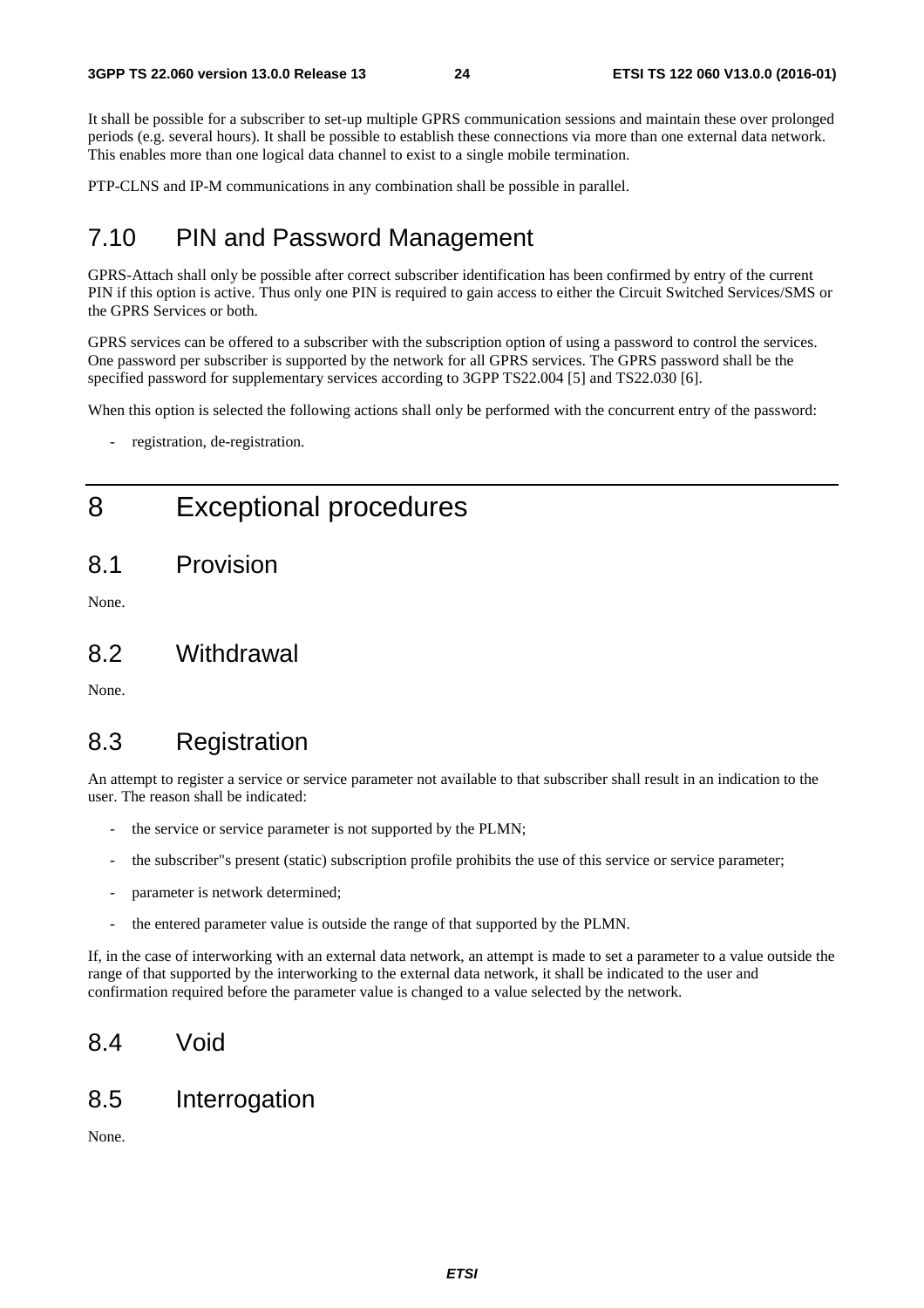It shall be possible for a subscriber to set-up multiple GPRS communication sessions and maintain these over prolonged periods (e.g. several hours). It shall be possible to establish these connections via more than one external data network. This enables more than one logical data channel to exist to a single mobile termination.

PTP-CLNS and IP-M communications in any combination shall be possible in parallel.

### 7.10 PIN and Password Management

GPRS-Attach shall only be possible after correct subscriber identification has been confirmed by entry of the current PIN if this option is active. Thus only one PIN is required to gain access to either the Circuit Switched Services/SMS or the GPRS Services or both.

GPRS services can be offered to a subscriber with the subscription option of using a password to control the services. One password per subscriber is supported by the network for all GPRS services. The GPRS password shall be the specified password for supplementary services according to 3GPP TS22.004 [5] and TS22.030 [6].

When this option is selected the following actions shall only be performed with the concurrent entry of the password:

registration, de-registration.

# 8 Exceptional procedures

8.1 Provision

None.

#### 8.2 Withdrawal

None.

### 8.3 Registration

An attempt to register a service or service parameter not available to that subscriber shall result in an indication to the user. The reason shall be indicated:

- the service or service parameter is not supported by the PLMN;
- the subscriber"s present (static) subscription profile prohibits the use of this service or service parameter;
- parameter is network determined;
- the entered parameter value is outside the range of that supported by the PLMN.

If, in the case of interworking with an external data network, an attempt is made to set a parameter to a value outside the range of that supported by the interworking to the external data network, it shall be indicated to the user and confirmation required before the parameter value is changed to a value selected by the network.

### 8.4 Void

### 8.5 Interrogation

None.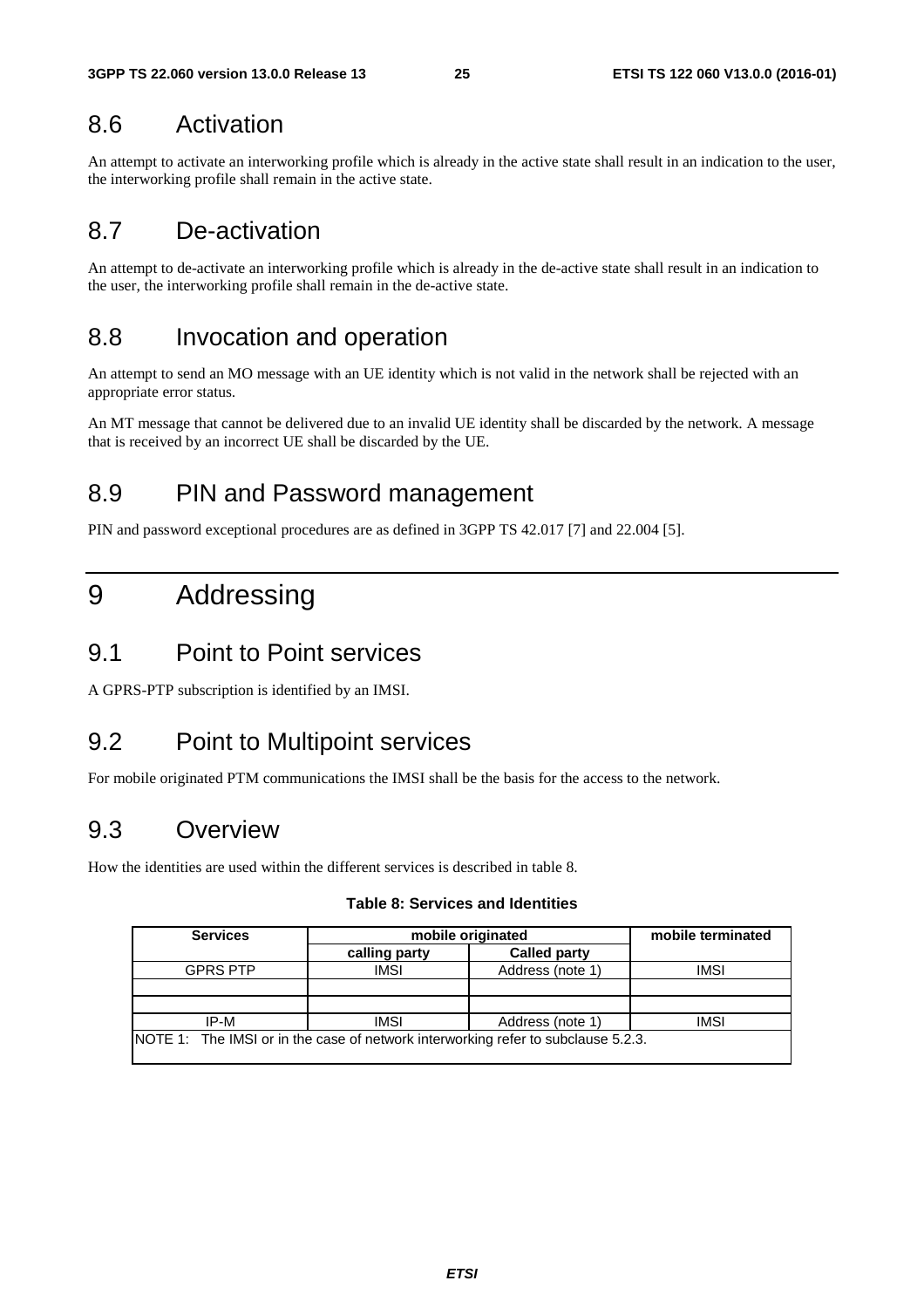# 8.6 Activation

An attempt to activate an interworking profile which is already in the active state shall result in an indication to the user, the interworking profile shall remain in the active state.

# 8.7 De-activation

An attempt to de-activate an interworking profile which is already in the de-active state shall result in an indication to the user, the interworking profile shall remain in the de-active state.

# 8.8 Invocation and operation

An attempt to send an MO message with an UE identity which is not valid in the network shall be rejected with an appropriate error status.

An MT message that cannot be delivered due to an invalid UE identity shall be discarded by the network. A message that is received by an incorrect UE shall be discarded by the UE.

# 8.9 PIN and Password management

PIN and password exceptional procedures are as defined in 3GPP TS 42.017 [7] and 22.004 [5].

# 9 Addressing

### 9.1 Point to Point services

A GPRS-PTP subscription is identified by an IMSI.

# 9.2 Point to Multipoint services

For mobile originated PTM communications the IMSI shall be the basis for the access to the network.

# 9.3 Overview

How the identities are used within the different services is described in table 8.

#### **Table 8: Services and Identities**

| <b>Services</b>                                                                   | mobile originated | mobile terminated   |             |  |
|-----------------------------------------------------------------------------------|-------------------|---------------------|-------------|--|
|                                                                                   | calling party     | <b>Called party</b> |             |  |
| <b>GPRS PTP</b>                                                                   | <b>IMSI</b>       | Address (note 1)    | <b>IMSI</b> |  |
|                                                                                   |                   |                     |             |  |
|                                                                                   |                   |                     |             |  |
| IP-M                                                                              | <b>IMSI</b>       | Address (note 1)    | <b>IMSI</b> |  |
| NOTE 1: The IMSI or in the case of network interworking refer to subclause 5.2.3. |                   |                     |             |  |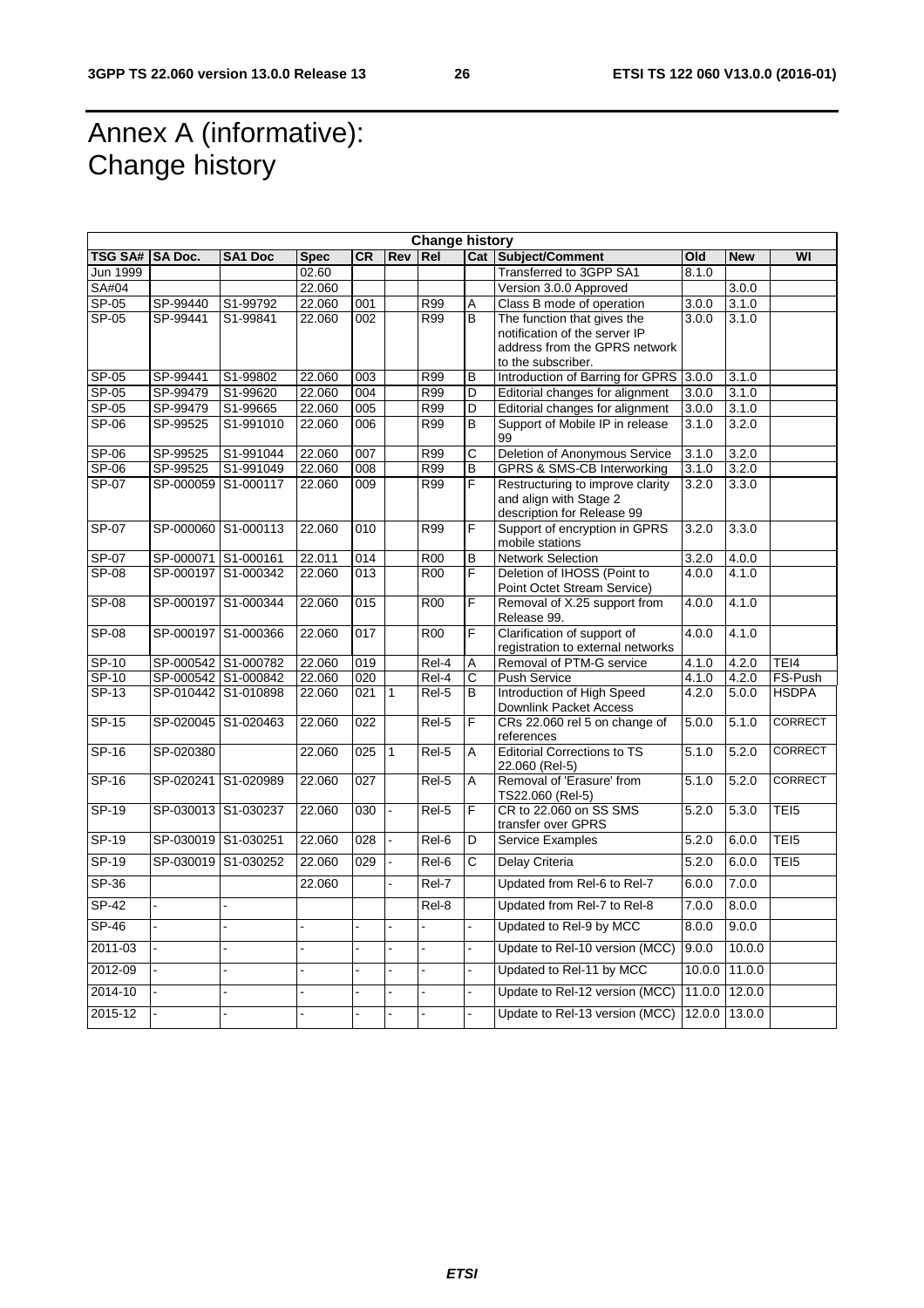F

# Annex A (informative): Change history

|                            | <b>Change history</b> |                     |             |                  |              |                  |                          |                                                                                               |        |            |                  |
|----------------------------|-----------------------|---------------------|-------------|------------------|--------------|------------------|--------------------------|-----------------------------------------------------------------------------------------------|--------|------------|------------------|
| <b>TSG SA#</b>             | SA Doc.               | <b>SA1 Doc</b>      | <b>Spec</b> | <b>CR</b>        | Rev Rel      |                  |                          | <b>Cat Subject/Comment</b>                                                                    | Old    | <b>New</b> | WI               |
| Jun 1999                   |                       |                     | 02.60       |                  |              |                  |                          | Transferred to 3GPP SA1                                                                       | 8.1.0  |            |                  |
| <b>SA#04</b>               |                       |                     | 22.060      |                  |              |                  |                          | Version 3.0.0 Approved                                                                        |        | 3.0.0      |                  |
| $SP-05$                    | SP-99440              | S1-99792            | 22.060      | 001              |              | R99              | Α                        | Class B mode of operation                                                                     | 3.0.0  | 3.1.0      |                  |
| $SP-05$                    | SP-99441              | S1-99841            | 22.060      | 002              |              | R99              | $\overline{B}$           | The function that gives the<br>notification of the server IP<br>address from the GPRS network | 3.0.0  | 3.1.0      |                  |
|                            |                       |                     |             |                  |              |                  |                          | to the subscriber.                                                                            |        |            |                  |
| SP-05                      | SP-99441              | S1-99802            | 22.060      | 003              |              | R99              | в                        | Introduction of Barring for GPRS 3.0.0                                                        |        | 3.1.0      |                  |
| SP-05                      | SP-99479              | S1-99620            | 22.060      | $\overline{004}$ |              | R99              | D                        | Editorial changes for alignment                                                               | 3.0.0  | 3.1.0      |                  |
| SP-05                      | SP-99479              | S1-99665            | 22.060      | 005              |              | R99              | D                        | Editorial changes for alignment                                                               | 3.0.0  | 3.1.0      |                  |
| $SP-06$                    | SP-99525              | S1-991010           | 22.060      | 006              |              | R99              | B                        | Support of Mobile IP in release<br>99                                                         | 3.1.0  | 3.2.0      |                  |
| SP-06                      | SP-99525              | S1-991044           | 22.060      | 007              |              | R99              | C                        | Deletion of Anonymous Service                                                                 | 3.1.0  | 3.2.0      |                  |
| SP-06                      | SP-99525              | S1-991049           | 22.060      | 008              |              | R99              | B                        | GPRS & SMS-CB Interworking                                                                    | 3.1.0  | 3.2.0      |                  |
| $SP-07$                    |                       | SP-000059 S1-000117 | 22.060      | 009              |              | R99              | F                        | Restructuring to improve clarity<br>and align with Stage 2<br>description for Release 99      | 3.2.0  | 3.3.0      |                  |
| SP-07                      |                       | SP-000060 S1-000113 | 22.060      | 010              |              | R99              | F                        | Support of encryption in GPRS<br>mobile stations                                              | 3.2.0  | 3.3.0      |                  |
| <b>SP-07</b>               | SP-000071 S1-000161   |                     | 22.011      | 014              |              | <b>R00</b>       | B                        | <b>Network Selection</b>                                                                      | 3.2.0  | 4.0.0      |                  |
| SP-08                      |                       | SP-000197 S1-000342 | 22.060      | 013              |              | $\overline{ROO}$ | F                        | Deletion of IHOSS (Point to<br>Point Octet Stream Service)                                    | 4.0.0  | 4.1.0      |                  |
| <b>SP-08</b>               |                       | SP-000197 S1-000344 | 22.060      | 015              |              | <b>R00</b>       | F                        | Removal of X.25 support from<br>Release 99.                                                   | 4.0.0  | 4.1.0      |                  |
| SP-08                      |                       | SP-000197 S1-000366 | 22.060      | 017              |              | <b>R00</b>       | $\overline{F}$           | Clarification of support of<br>registration to external networks                              | 4.0.0  | 4.1.0      |                  |
| SP-10                      |                       | SP-000542 S1-000782 | 22.060      | 019              |              | Rel-4            | A                        | Removal of PTM-G service                                                                      | 4.1.0  | 4.2.0      | TEI4             |
| SP-10                      | SP-000542 S1-000842   |                     | 22.060      | 020              |              | Rel-4            | C                        | <b>Push Service</b>                                                                           | 4.1.0  | 4.2.0      | FS-Push          |
| $\overline{\text{SP}}$ -13 |                       | SP-010442 S1-010898 | 22.060      | 021              | $\mathbf{1}$ | Rel-5            | B                        | Introduction of High Speed<br>Downlink Packet Access                                          | 4.2.0  | 5.0.0      | <b>HSDPA</b>     |
| $SP-15$                    |                       | SP-020045 S1-020463 | 22.060      | $\overline{022}$ |              | $ReI-5$          | F                        | CRs 22.060 rel 5 on change of<br>references                                                   | 5.0.0  | 5.1.0      | <b>CORRECT</b>   |
| $SP-16$                    | SP-020380             |                     | 22.060      | 025              | $\mathbf{1}$ | Rel-5            | A                        | <b>Editorial Corrections to TS</b><br>22.060 (Rel-5)                                          | 5.1.0  | 5.2.0      | <b>CORRECT</b>   |
| SP-16                      |                       | SP-020241 S1-020989 | 22.060      | 027              |              | Rel-5            | A                        | Removal of 'Erasure' from<br>TS22.060 (Rel-5)                                                 | 5.1.0  | 5.2.0      | <b>CORRECT</b>   |
| $SP-19$                    | SP-030013 S1-030237   |                     | 22.060      | 030              |              | $Rel-5$          | F                        | CR to 22.060 on SS SMS<br>transfer over GPRS                                                  | 5.2.0  | 5.3.0      | TE <sub>I5</sub> |
| $SP-19$                    | SP-030019 S1-030251   |                     | 22.060      | 028              |              | Rel-6            | D                        | <b>Service Examples</b>                                                                       | 5.2.0  | 6.0.0      | TEI5             |
| $SP-19$                    |                       | SP-030019 S1-030252 | 22.060      | $\overline{029}$ | ÷,           | Rel-6            | $\overline{\text{c}}$    | Delay Criteria                                                                                | 5.2.0  | 6.0.0      | TEI <sub>5</sub> |
| $SP-36$                    |                       |                     | 22.060      |                  |              | Rel-7            |                          | Updated from Rel-6 to Rel-7                                                                   | 6.0.0  | 7.0.0      |                  |
| $SP-42$                    |                       |                     |             |                  |              | Rel-8            |                          | Updated from Rel-7 to Rel-8                                                                   | 7.0.0  | 8.0.0      |                  |
| $SP-46$                    |                       |                     |             |                  |              |                  | $\overline{\phantom{a}}$ | Updated to Rel-9 by MCC                                                                       | 8.0.0  | 9.0.0      |                  |
| 2011-03                    |                       |                     |             |                  |              | $\overline{a}$   | L,                       | Update to Rel-10 version (MCC)                                                                | 9.0.0  | 10.0.0     |                  |
| 2012-09                    |                       |                     |             |                  |              |                  |                          | Updated to Rel-11 by MCC                                                                      | 10.0.0 | 11.0.0     |                  |
| 2014-10                    |                       |                     |             |                  |              |                  |                          | Update to Rel-12 version (MCC)                                                                | 11.0.0 | 12.0.0     |                  |
| 2015-12                    |                       |                     |             |                  |              |                  |                          | Update to Rel-13 version (MCC)                                                                | 12.0.0 | 13.0.0     |                  |